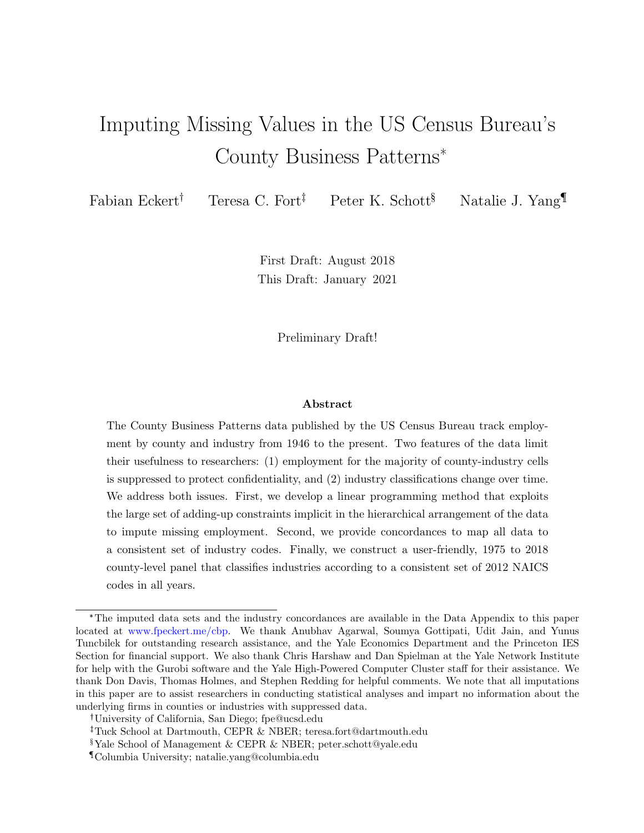# Imputing Missing Values in the US Census Bureau's County Business Patterns\*

Fabian Eckert<sup>†</sup> Teresa C. Fort<sup>‡</sup> Peter K. Schott<sup>§</sup> Natalie J. Yang

First Draft: August 2018 This Draft: January 2021

Preliminary Draft!

#### Abstract

The County Business Patterns data published by the US Census Bureau track employment by county and industry from 1946 to the present. Two features of the data limit their usefulness to researchers: (1) employment for the majority of county-industry cells is suppressed to protect confidentiality, and (2) industry classifications change over time. We address both issues. First, we develop a linear programming method that exploits the large set of adding-up constraints implicit in the hierarchical arrangement of the data to impute missing employment. Second, we provide concordances to map all data to a consistent set of industry codes. Finally, we construct a user-friendly, 1975 to 2018 county-level panel that classifies industries according to a consistent set of 2012 NAICS codes in all years.

<sup>\*</sup>The imputed data sets and the industry concordances are available in the Data Appendix to this paper located at [www.fpeckert.me/cbp.](http://www.fpeckert.me/cbp) We thank Anubhav Agarwal, Soumya Gottipati, Udit Jain, and Yunus Tuncbilek for outstanding research assistance, and the Yale Economics Department and the Princeton IES Section for financial support. We also thank Chris Harshaw and Dan Spielman at the Yale Network Institute for help with the Gurobi software and the Yale High-Powered Computer Cluster staff for their assistance. We thank Don Davis, Thomas Holmes, and Stephen Redding for helpful comments. We note that all imputations in this paper are to assist researchers in conducting statistical analyses and impart no information about the underlying firms in counties or industries with suppressed data.

University of California, San Diego; fpe@ucsd.edu

Tuck School at Dartmouth, CEPR & NBER; teresa.fort@dartmouth.edu

<sup>§</sup>Yale School of Management & CEPR & NBER; peter.schott@yale.edu

<sup>¶</sup>Columbia University; natalie.yang@columbia.edu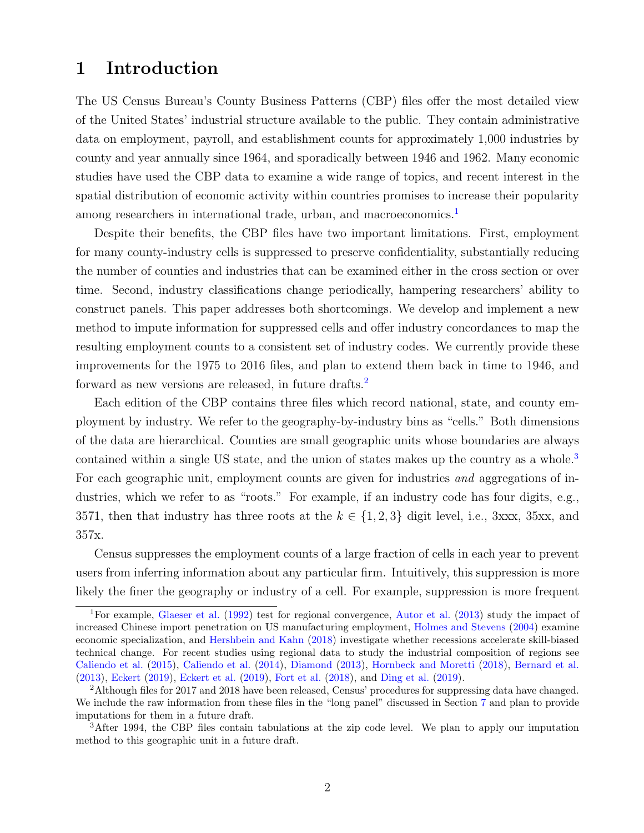## 1 Introduction

The US Census Bureau's County Business Patterns (CBP) files offer the most detailed view of the United States' industrial structure available to the public. They contain administrative data on employment, payroll, and establishment counts for approximately 1,000 industries by county and year annually since 1964, and sporadically between 1946 and 1962. Many economic studies have used the CBP data to examine a wide range of topics, and recent interest in the spatial distribution of economic activity within countries promises to increase their popularity among researchers in international trade, urban, and macroeconomics.<sup>[1](#page-1-0)</sup>

Despite their benefits, the CBP files have two important limitations. First, employment for many county-industry cells is suppressed to preserve confidentiality, substantially reducing the number of counties and industries that can be examined either in the cross section or over time. Second, industry classifications change periodically, hampering researchers' ability to construct panels. This paper addresses both shortcomings. We develop and implement a new method to impute information for suppressed cells and offer industry concordances to map the resulting employment counts to a consistent set of industry codes. We currently provide these improvements for the 1975 to 2016 files, and plan to extend them back in time to 1946, and forward as new versions are released, in future drafts.[2](#page-1-1)

Each edition of the CBP contains three files which record national, state, and county employment by industry. We refer to the geography-by-industry bins as "cells." Both dimensions of the data are hierarchical. Counties are small geographic units whose boundaries are always contained within a single US state, and the union of states makes up the country as a whole.<sup>[3](#page-1-2)</sup> For each geographic unit, employment counts are given for industries and aggregations of industries, which we refer to as "roots." For example, if an industry code has four digits, e.g., 3571, then that industry has three roots at the  $k \in \{1, 2, 3\}$  digit level, i.e., 3xxx, 35xx, and 357x.

Census suppresses the employment counts of a large fraction of cells in each year to prevent users from inferring information about any particular firm. Intuitively, this suppression is more likely the finer the geography or industry of a cell. For example, suppression is more frequent

<span id="page-1-0"></span><sup>1</sup>For example, [Glaeser et al.](#page-38-0) [\(1992\)](#page-38-0) test for regional convergence, [Autor et al.](#page-37-0) [\(2013\)](#page-37-0) study the impact of increased Chinese import penetration on US manufacturing employment, [Holmes and Stevens](#page-38-1) [\(2004\)](#page-38-1) examine economic specialization, and [Hershbein and Kahn](#page-38-2) [\(2018\)](#page-38-2) investigate whether recessions accelerate skill-biased technical change. For recent studies using regional data to study the industrial composition of regions see [Caliendo et al.](#page-37-1) [\(2015\)](#page-37-1), [Caliendo et al.](#page-37-2) [\(2014\)](#page-37-2), [Diamond](#page-37-3) [\(2013\)](#page-37-3), [Hornbeck and Moretti](#page-38-3) [\(2018\)](#page-38-3), [Bernard et al.](#page-37-4) [\(2013\)](#page-37-4), [Eckert](#page-37-5) [\(2019\)](#page-37-5), [Eckert et al.](#page-37-6) [\(2019\)](#page-37-6), [Fort et al.](#page-38-4) [\(2018\)](#page-38-4), and [Ding et al.](#page-37-7) [\(2019\)](#page-37-7).

<span id="page-1-1"></span><sup>&</sup>lt;sup>2</sup>Although files for 2017 and 2018 have been released, Census' procedures for suppressing data have changed. We include the raw information from these files in the "long panel" discussed in Section [7](#page-31-0) and plan to provide imputations for them in a future draft.

<span id="page-1-2"></span><sup>&</sup>lt;sup>3</sup>After 1994, the CBP files contain tabulations at the zip code level. We plan to apply our imputation method to this geographic unit in a future draft.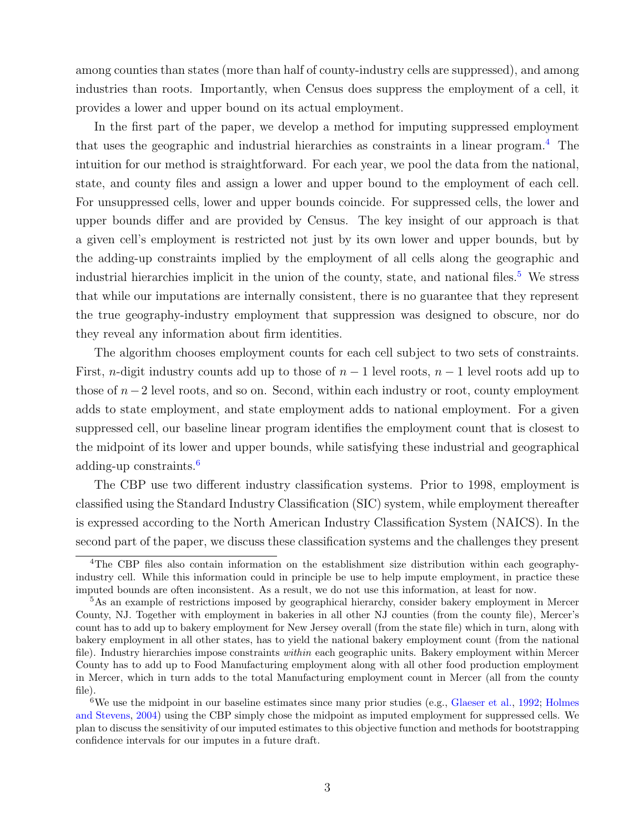among counties than states (more than half of county-industry cells are suppressed), and among industries than roots. Importantly, when Census does suppress the employment of a cell, it provides a lower and upper bound on its actual employment.

In the first part of the paper, we develop a method for imputing suppressed employment that uses the geographic and industrial hierarchies as constraints in a linear program.[4](#page-2-0) The intuition for our method is straightforward. For each year, we pool the data from the national, state, and county files and assign a lower and upper bound to the employment of each cell. For unsuppressed cells, lower and upper bounds coincide. For suppressed cells, the lower and upper bounds differ and are provided by Census. The key insight of our approach is that a given cell's employment is restricted not just by its own lower and upper bounds, but by the adding-up constraints implied by the employment of all cells along the geographic and industrial hierarchies implicit in the union of the county, state, and national files.<sup>[5](#page-2-1)</sup> We stress that while our imputations are internally consistent, there is no guarantee that they represent the true geography-industry employment that suppression was designed to obscure, nor do they reveal any information about firm identities.

The algorithm chooses employment counts for each cell subject to two sets of constraints. First, n-digit industry counts add up to those of  $n-1$  level roots,  $n-1$  level roots add up to those of  $n-2$  level roots, and so on. Second, within each industry or root, county employment adds to state employment, and state employment adds to national employment. For a given suppressed cell, our baseline linear program identifies the employment count that is closest to the midpoint of its lower and upper bounds, while satisfying these industrial and geographical adding-up constraints.[6](#page-2-2)

The CBP use two different industry classification systems. Prior to 1998, employment is classified using the Standard Industry Classification (SIC) system, while employment thereafter is expressed according to the North American Industry Classification System (NAICS). In the second part of the paper, we discuss these classification systems and the challenges they present

<span id="page-2-0"></span><sup>&</sup>lt;sup>4</sup>The CBP files also contain information on the establishment size distribution within each geographyindustry cell. While this information could in principle be use to help impute employment, in practice these imputed bounds are often inconsistent. As a result, we do not use this information, at least for now.

<span id="page-2-1"></span><sup>5</sup>As an example of restrictions imposed by geographical hierarchy, consider bakery employment in Mercer County, NJ. Together with employment in bakeries in all other NJ counties (from the county file), Mercer's count has to add up to bakery employment for New Jersey overall (from the state file) which in turn, along with bakery employment in all other states, has to yield the national bakery employment count (from the national file). Industry hierarchies impose constraints *within* each geographic units. Bakery employment within Mercer County has to add up to Food Manufacturing employment along with all other food production employment in Mercer, which in turn adds to the total Manufacturing employment count in Mercer (all from the county file).

<span id="page-2-2"></span><sup>&</sup>lt;sup>6</sup>We use the midpoint in our baseline estimates since many prior studies (e.g., [Glaeser et al.,](#page-38-0) [1992;](#page-38-0) [Holmes](#page-38-1) [and Stevens,](#page-38-1) [2004\)](#page-38-1) using the CBP simply chose the midpoint as imputed employment for suppressed cells. We plan to discuss the sensitivity of our imputed estimates to this objective function and methods for bootstrapping confidence intervals for our imputes in a future draft.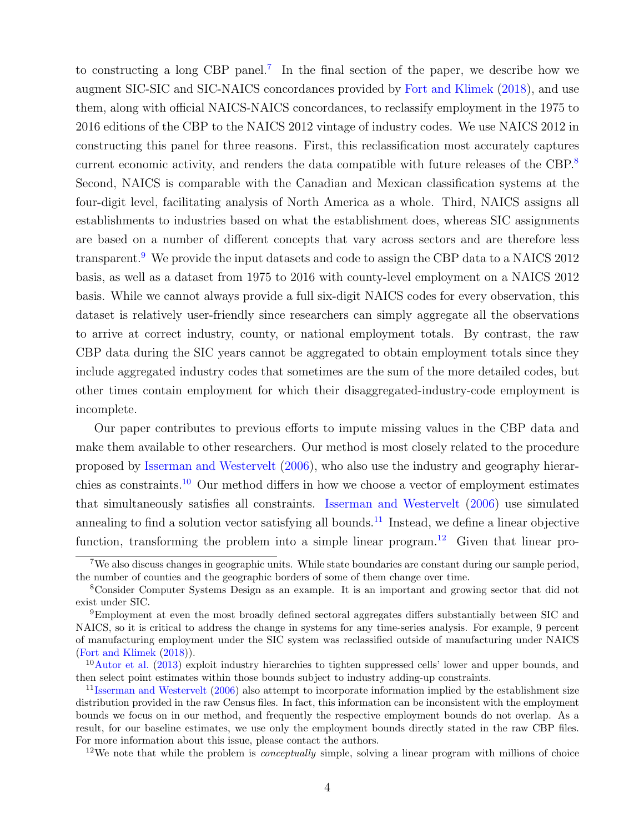to constructing a long CBP panel.<sup>[7](#page-3-0)</sup> In the final section of the paper, we describe how we augment SIC-SIC and SIC-NAICS concordances provided by [Fort and Klimek](#page-37-8) [\(2018\)](#page-37-8), and use them, along with official NAICS-NAICS concordances, to reclassify employment in the 1975 to 2016 editions of the CBP to the NAICS 2012 vintage of industry codes. We use NAICS 2012 in constructing this panel for three reasons. First, this reclassification most accurately captures current economic activity, and renders the data compatible with future releases of the CBP.<sup>[8](#page-3-1)</sup> Second, NAICS is comparable with the Canadian and Mexican classification systems at the four-digit level, facilitating analysis of North America as a whole. Third, NAICS assigns all establishments to industries based on what the establishment does, whereas SIC assignments are based on a number of different concepts that vary across sectors and are therefore less transparent.<sup>[9](#page-3-2)</sup> We provide the input datasets and code to assign the CBP data to a NAICS 2012 basis, as well as a dataset from 1975 to 2016 with county-level employment on a NAICS 2012 basis. While we cannot always provide a full six-digit NAICS codes for every observation, this dataset is relatively user-friendly since researchers can simply aggregate all the observations to arrive at correct industry, county, or national employment totals. By contrast, the raw CBP data during the SIC years cannot be aggregated to obtain employment totals since they include aggregated industry codes that sometimes are the sum of the more detailed codes, but other times contain employment for which their disaggregated-industry-code employment is incomplete.

Our paper contributes to previous efforts to impute missing values in the CBP data and make them available to other researchers. Our method is most closely related to the procedure proposed by [Isserman and Westervelt](#page-38-5) [\(2006\)](#page-38-5), who also use the industry and geography hierarchies as constraints.[10](#page-3-3) Our method differs in how we choose a vector of employment estimates that simultaneously satisfies all constraints. [Isserman and Westervelt](#page-38-5) [\(2006\)](#page-38-5) use simulated annealing to find a solution vector satisfying all bounds.<sup>[11](#page-3-4)</sup> Instead, we define a linear objective function, transforming the problem into a simple linear program.<sup>[12](#page-3-5)</sup> Given that linear pro-

<span id="page-3-5"></span> $12$ We note that while the problem is *conceptually* simple, solving a linear program with millions of choice

<span id="page-3-0"></span><sup>&</sup>lt;sup>7</sup>We also discuss changes in geographic units. While state boundaries are constant during our sample period, the number of counties and the geographic borders of some of them change over time.

<span id="page-3-1"></span><sup>8</sup>Consider Computer Systems Design as an example. It is an important and growing sector that did not exist under SIC.

<span id="page-3-2"></span><sup>9</sup>Employment at even the most broadly defined sectoral aggregates differs substantially between SIC and NAICS, so it is critical to address the change in systems for any time-series analysis. For example, 9 percent of manufacturing employment under the SIC system was reclassified outside of manufacturing under NAICS [\(Fort and Klimek](#page-37-8) [\(2018\)](#page-37-8)).

<span id="page-3-3"></span><sup>10</sup>[Autor et al.](#page-37-0) [\(2013\)](#page-37-0) exploit industry hierarchies to tighten suppressed cells' lower and upper bounds, and then select point estimates within those bounds subject to industry adding-up constraints.

<span id="page-3-4"></span> $11$ [Isserman and Westervelt](#page-38-5) [\(2006\)](#page-38-5) also attempt to incorporate information implied by the establishment size distribution provided in the raw Census files. In fact, this information can be inconsistent with the employment bounds we focus on in our method, and frequently the respective employment bounds do not overlap. As a result, for our baseline estimates, we use only the employment bounds directly stated in the raw CBP files. For more information about this issue, please contact the authors.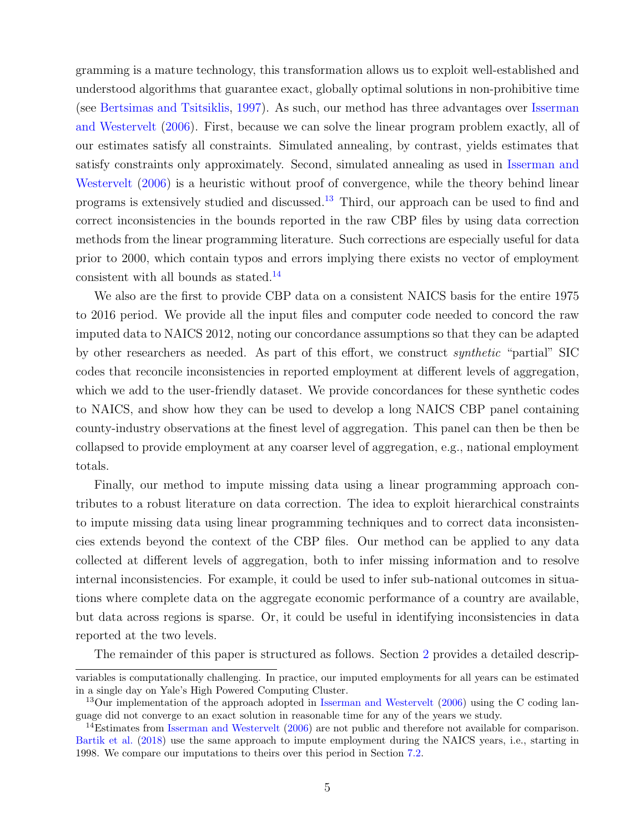gramming is a mature technology, this transformation allows us to exploit well-established and understood algorithms that guarantee exact, globally optimal solutions in non-prohibitive time (see [Bertsimas and Tsitsiklis,](#page-37-9) [1997\)](#page-37-9). As such, our method has three advantages over [Isserman](#page-38-5) [and Westervelt](#page-38-5) [\(2006\)](#page-38-5). First, because we can solve the linear program problem exactly, all of our estimates satisfy all constraints. Simulated annealing, by contrast, yields estimates that satisfy constraints only approximately. Second, simulated annealing as used in [Isserman and](#page-38-5) [Westervelt](#page-38-5) [\(2006\)](#page-38-5) is a heuristic without proof of convergence, while the theory behind linear programs is extensively studied and discussed.[13](#page-4-0) Third, our approach can be used to find and correct inconsistencies in the bounds reported in the raw CBP files by using data correction methods from the linear programming literature. Such corrections are especially useful for data prior to 2000, which contain typos and errors implying there exists no vector of employment consistent with all bounds as stated.[14](#page-4-1)

We also are the first to provide CBP data on a consistent NAICS basis for the entire 1975 to 2016 period. We provide all the input files and computer code needed to concord the raw imputed data to NAICS 2012, noting our concordance assumptions so that they can be adapted by other researchers as needed. As part of this effort, we construct synthetic "partial" SIC codes that reconcile inconsistencies in reported employment at different levels of aggregation, which we add to the user-friendly dataset. We provide concordances for these synthetic codes to NAICS, and show how they can be used to develop a long NAICS CBP panel containing county-industry observations at the finest level of aggregation. This panel can then be then be collapsed to provide employment at any coarser level of aggregation, e.g., national employment totals.

Finally, our method to impute missing data using a linear programming approach contributes to a robust literature on data correction. The idea to exploit hierarchical constraints to impute missing data using linear programming techniques and to correct data inconsistencies extends beyond the context of the CBP files. Our method can be applied to any data collected at different levels of aggregation, both to infer missing information and to resolve internal inconsistencies. For example, it could be used to infer sub-national outcomes in situations where complete data on the aggregate economic performance of a country are available, but data across regions is sparse. Or, it could be useful in identifying inconsistencies in data reported at the two levels.

The remainder of this paper is structured as follows. Section [2](#page-5-0) provides a detailed descrip-

variables is computationally challenging. In practice, our imputed employments for all years can be estimated in a single day on Yale's High Powered Computing Cluster.

<span id="page-4-0"></span><sup>&</sup>lt;sup>13</sup>Our implementation of the approach adopted in [Isserman and Westervelt](#page-38-5)  $(2006)$  using the C coding language did not converge to an exact solution in reasonable time for any of the years we study.

<span id="page-4-1"></span><sup>&</sup>lt;sup>14</sup>Estimates from [Isserman and Westervelt](#page-38-5) [\(2006\)](#page-38-5) are not public and therefore not available for comparison. [Bartik et al.](#page-37-10) [\(2018\)](#page-37-10) use the same approach to impute employment during the NAICS years, i.e., starting in 1998. We compare our imputations to theirs over this period in Section [7.2.](#page-35-0)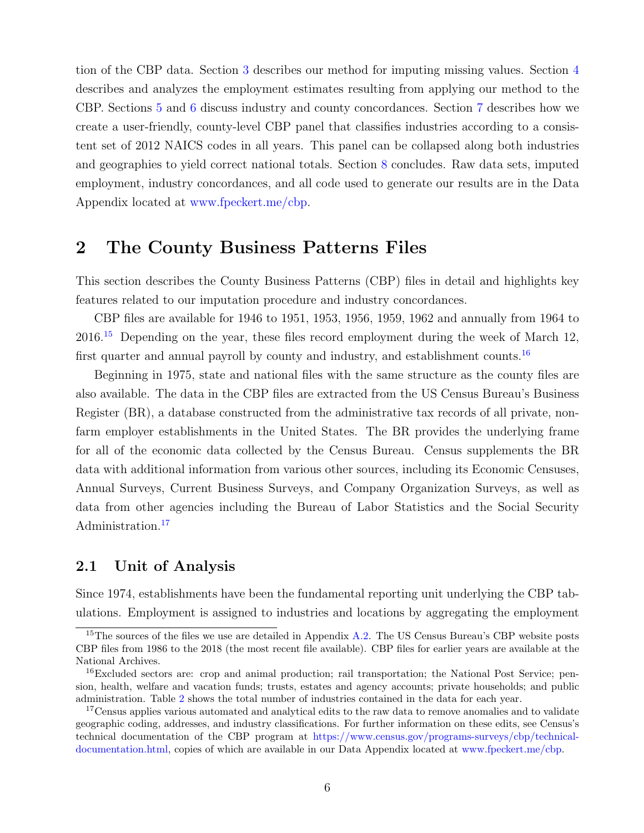tion of the CBP data. Section [3](#page-17-0) describes our method for imputing missing values. Section [4](#page-21-0) describes and analyzes the employment estimates resulting from applying our method to the CBP. Sections [5](#page-26-0) and [6](#page-31-1) discuss industry and county concordances. Section [7](#page-31-0) describes how we create a user-friendly, county-level CBP panel that classifies industries according to a consistent set of 2012 NAICS codes in all years. This panel can be collapsed along both industries and geographies to yield correct national totals. Section [8](#page-36-0) concludes. Raw data sets, imputed employment, industry concordances, and all code used to generate our results are in the Data Appendix located at [www.fpeckert.me/cbp.](http://www.fpeckert.me/cbp)

## <span id="page-5-0"></span>2 The County Business Patterns Files

This section describes the County Business Patterns (CBP) files in detail and highlights key features related to our imputation procedure and industry concordances.

CBP files are available for 1946 to 1951, 1953, 1956, 1959, 1962 and annually from 1964 to  $2016<sup>15</sup>$  $2016<sup>15</sup>$  $2016<sup>15</sup>$  Depending on the year, these files record employment during the week of March 12, first quarter and annual payroll by county and industry, and establishment counts.<sup>[16](#page-5-2)</sup>

Beginning in 1975, state and national files with the same structure as the county files are also available. The data in the CBP files are extracted from the US Census Bureau's Business Register (BR), a database constructed from the administrative tax records of all private, nonfarm employer establishments in the United States. The BR provides the underlying frame for all of the economic data collected by the Census Bureau. Census supplements the BR data with additional information from various other sources, including its Economic Censuses, Annual Surveys, Current Business Surveys, and Company Organization Surveys, as well as data from other agencies including the Bureau of Labor Statistics and the Social Security Administration.<sup>[17](#page-5-3)</sup>

#### <span id="page-5-4"></span>2.1 Unit of Analysis

Since 1974, establishments have been the fundamental reporting unit underlying the CBP tabulations. Employment is assigned to industries and locations by aggregating the employment

<span id="page-5-1"></span><sup>&</sup>lt;sup>15</sup>The sources of the files we use are detailed in Appendix [A.2.](#page-39-0) The US Census Bureau's CBP website posts CBP files from 1986 to the 2018 (the most recent file available). CBP files for earlier years are available at the National Archives.

<span id="page-5-2"></span><sup>&</sup>lt;sup>16</sup>Excluded sectors are: crop and animal production; rail transportation; the National Post Service; pension, health, welfare and vacation funds; trusts, estates and agency accounts; private households; and public administration. Table [2](#page-7-0) shows the total number of industries contained in the data for each year.

<span id="page-5-3"></span><sup>&</sup>lt;sup>17</sup>Census applies various automated and analytical edits to the raw data to remove anomalies and to validate geographic coding, addresses, and industry classifications. For further information on these edits, see Census's technical documentation of the CBP program at [https://www.census.gov/programs-surveys/cbp/technical](https://www.census.gov/programs-surveys/cbp/technical-documentation.html)[documentation.html,](https://www.census.gov/programs-surveys/cbp/technical-documentation.html) copies of which are available in our Data Appendix located at [www.fpeckert.me/cbp.](http://www.fpeckert.me/cbp)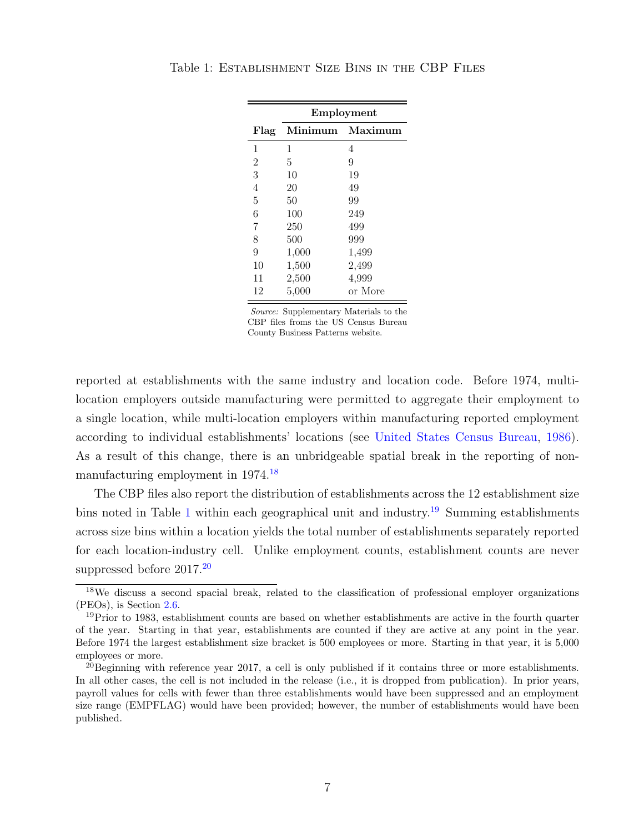|                | Employment |         |  |  |
|----------------|------------|---------|--|--|
| Flag           | Minimum    | Maximum |  |  |
| 1              | 1          | 4       |  |  |
| $\overline{2}$ | 5          | 9       |  |  |
| 3              | 10         | 19      |  |  |
| $\overline{4}$ | 20         | 49      |  |  |
| 5              | 50         | 99      |  |  |
| 6              | 100        | 249     |  |  |
| $\overline{7}$ | 250        | 499     |  |  |
| 8              | 500        | 999     |  |  |
| 9              | 1,000      | 1,499   |  |  |
| 10             | 1,500      | 2,499   |  |  |
| 11             | 2,500      | 4,999   |  |  |
| 12             | 5,000      | or More |  |  |

<span id="page-6-1"></span>Table 1: Establishment Size Bins in the CBP Files

Source: Supplementary Materials to the CBP files froms the US Census Bureau County Business Patterns website.

reported at establishments with the same industry and location code. Before 1974, multilocation employers outside manufacturing were permitted to aggregate their employment to a single location, while multi-location employers within manufacturing reported employment according to individual establishments' locations (see [United States Census Bureau,](#page-38-6) [1986\)](#page-38-6). As a result of this change, there is an unbridgeable spatial break in the reporting of nonmanufacturing employment in 1974.[18](#page-6-0)

The CBP files also report the distribution of establishments across the 12 establishment size bins noted in Table [1](#page-6-1) within each geographical unit and industry.<sup>[19](#page-6-2)</sup> Summing establishments across size bins within a location yields the total number of establishments separately reported for each location-industry cell. Unlike employment counts, establishment counts are never suppressed before  $2017.<sup>20</sup>$  $2017.<sup>20</sup>$ 

<span id="page-6-0"></span><sup>&</sup>lt;sup>18</sup>We discuss a second spacial break, related to the classification of professional employer organizations (PEOs), is Section [2.6.](#page-17-1)

<span id="page-6-2"></span> $19$ Prior to 1983, establishment counts are based on whether establishments are active in the fourth quarter of the year. Starting in that year, establishments are counted if they are active at any point in the year. Before 1974 the largest establishment size bracket is 500 employees or more. Starting in that year, it is 5,000 employees or more.

<span id="page-6-3"></span> $^{20}$ Beginning with reference year 2017, a cell is only published if it contains three or more establishments. In all other cases, the cell is not included in the release (i.e., it is dropped from publication). In prior years, payroll values for cells with fewer than three establishments would have been suppressed and an employment size range (EMPFLAG) would have been provided; however, the number of establishments would have been published.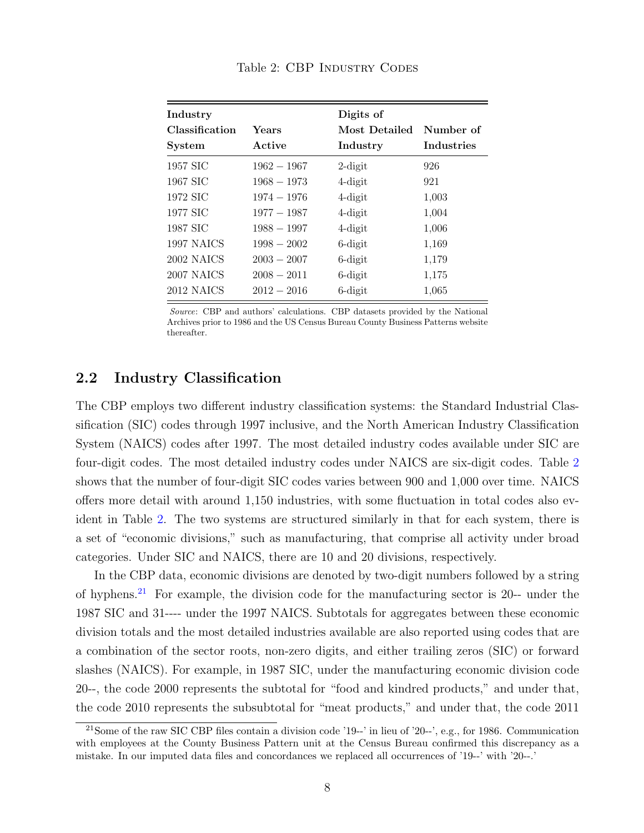<span id="page-7-0"></span>

| Industry       |               | Digits of     |            |
|----------------|---------------|---------------|------------|
| Classification | Years         | Most Detailed | Number of  |
| System         | Active        | Industry      | Industries |
| 1957 SIC       | $1962 - 1967$ | $2$ -digit    | 926        |
| 1967 SIC       | $1968 - 1973$ | $4$ -digit    | 921        |
| 1972 SIC       | $1974 - 1976$ | $4$ -digit    | 1,003      |
| 1977 SIC       | $1977 - 1987$ | $4$ -digit    | 1,004      |
| 1987 SIC       | $1988 - 1997$ | $4$ -digit    | 1,006      |
| 1997 NAICS     | $1998 - 2002$ | $6$ -digit    | 1,169      |
| 2002 NAICS     | $2003 - 2007$ | $6$ -digit    | 1,179      |
| 2007 NAICS     | $2008 - 2011$ | $6$ -digit    | 1,175      |
| 2012 NAICS     | $2012 - 2016$ | $6$ -digit    | 1,065      |

#### Table 2: CBP INDUSTRY CODES

Source: CBP and authors' calculations. CBP datasets provided by the National Archives prior to 1986 and the US Census Bureau County Business Patterns website thereafter.

#### <span id="page-7-2"></span>2.2 Industry Classification

The CBP employs two different industry classification systems: the Standard Industrial Classification (SIC) codes through 1997 inclusive, and the North American Industry Classification System (NAICS) codes after 1997. The most detailed industry codes available under SIC are four-digit codes. The most detailed industry codes under NAICS are six-digit codes. Table [2](#page-7-0) shows that the number of four-digit SIC codes varies between 900 and 1,000 over time. NAICS offers more detail with around 1,150 industries, with some fluctuation in total codes also evident in Table [2.](#page-7-0) The two systems are structured similarly in that for each system, there is a set of "economic divisions," such as manufacturing, that comprise all activity under broad categories. Under SIC and NAICS, there are 10 and 20 divisions, respectively.

In the CBP data, economic divisions are denoted by two-digit numbers followed by a string of hyphens.[21](#page-7-1) For example, the division code for the manufacturing sector is 20-- under the 1987 SIC and 31---- under the 1997 NAICS. Subtotals for aggregates between these economic division totals and the most detailed industries available are also reported using codes that are a combination of the sector roots, non-zero digits, and either trailing zeros (SIC) or forward slashes (NAICS). For example, in 1987 SIC, under the manufacturing economic division code 20--, the code 2000 represents the subtotal for "food and kindred products," and under that, the code 2010 represents the subsubtotal for "meat products," and under that, the code 2011

<span id="page-7-1"></span> $21$ Some of the raw SIC CBP files contain a division code '19--' in lieu of '20--', e.g., for 1986. Communication with employees at the County Business Pattern unit at the Census Bureau confirmed this discrepancy as a mistake. In our imputed data files and concordances we replaced all occurrences of '19--' with '20--.'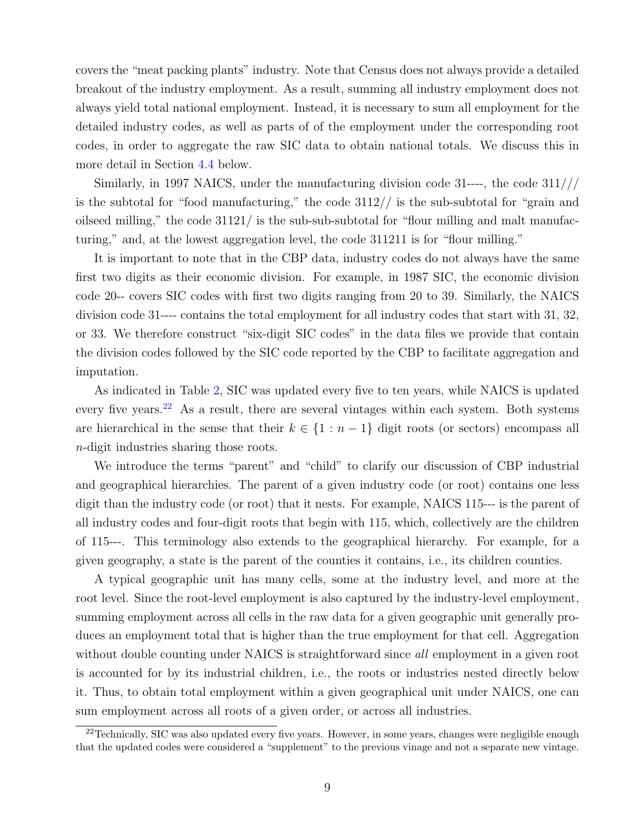covers the "meat packing plants" industry. Note that Census does not always provide a detailed breakout of the industry employment. As a result, summing all industry employment does not always yield total national employment. Instead, it is necessary to sum all employment for the detailed industry codes, as well as parts of of the employment under the corresponding root codes, in order to aggregate the raw SIC data to obtain national totals. We discuss this in more detail in Section [4.4](#page-23-0) below.

Similarly, in 1997 NAICS, under the manufacturing division code 31----, the code 311/// is the subtotal for "food manufacturing," the code  $3112/7$  is the sub-subtotal for "grain and oilseed milling," the code  $31121/$  is the sub-sub-subtotal for "flour milling and malt manufacturing," and, at the lowest aggregation level, the code 311211 is for "flour milling."

It is important to note that in the CBP data, industry codes do not always have the same first two digits as their economic division. For example, in 1987 SIC, the economic division code 20-- covers SIC codes with first two digits ranging from 20 to 39. Similarly, the NAICS division code 31---- contains the total employment for all industry codes that start with 31, 32, or 33. We therefore construct "six-digit SIC codes" in the data files we provide that contain the division codes followed by the SIC code reported by the CBP to facilitate aggregation and imputation.

As indicated in Table [2,](#page-7-0) SIC was updated every five to ten years, while NAICS is updated every five years.<sup>[22](#page-8-0)</sup> As a result, there are several vintages within each system. Both systems are hierarchical in the sense that their  $k \in \{1 : n-1\}$  digit roots (or sectors) encompass all n-digit industries sharing those roots.

We introduce the terms "parent" and "child" to clarify our discussion of CBP industrial and geographical hierarchies. The parent of a given industry code (or root) contains one less digit than the industry code (or root) that it nests. For example, NAICS 115--- is the parent of all industry codes and four-digit roots that begin with 115, which, collectively are the children of 115---. This terminology also extends to the geographical hierarchy. For example, for a given geography, a state is the parent of the counties it contains, i.e., its children counties.

A typical geographic unit has many cells, some at the industry level, and more at the root level. Since the root-level employment is also captured by the industry-level employment, summing employment across all cells in the raw data for a given geographic unit generally produces an employment total that is higher than the true employment for that cell. Aggregation without double counting under NAICS is straightforward since all employment in a given root is accounted for by its industrial children, i.e., the roots or industries nested directly below it. Thus, to obtain total employment within a given geographical unit under NAICS, one can sum employment across all roots of a given order, or across all industries.

<span id="page-8-0"></span><sup>&</sup>lt;sup>22</sup>Technically, SIC was also updated every five years. However, in some years, changes were negligible enough that the updated codes were considered a "supplement" to the previous vinage and not a separate new vintage.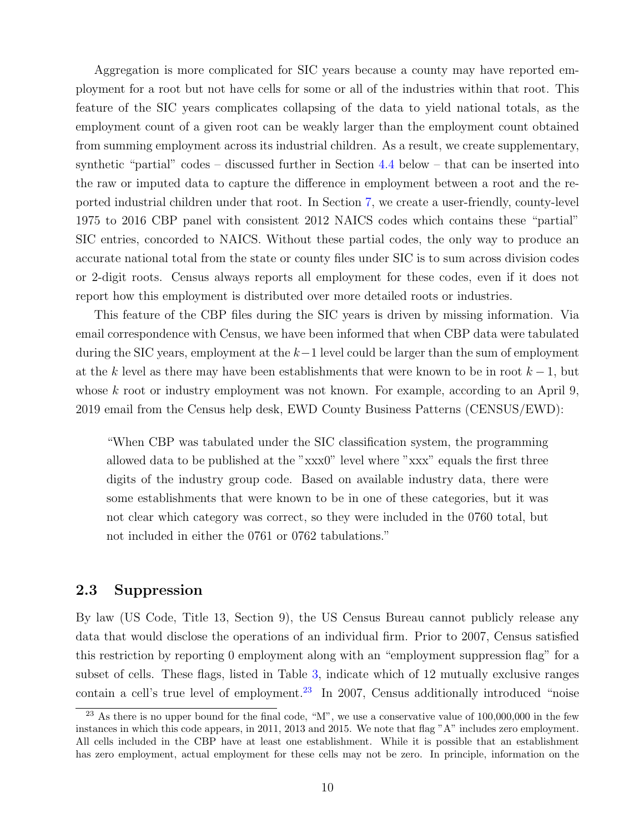Aggregation is more complicated for SIC years because a county may have reported employment for a root but not have cells for some or all of the industries within that root. This feature of the SIC years complicates collapsing of the data to yield national totals, as the employment count of a given root can be weakly larger than the employment count obtained from summing employment across its industrial children. As a result, we create supplementary, synthetic "partial" codes – discussed further in Section [4.4](#page-23-0) below – that can be inserted into the raw or imputed data to capture the difference in employment between a root and the reported industrial children under that root. In Section [7,](#page-31-0) we create a user-friendly, county-level 1975 to 2016 CBP panel with consistent 2012 NAICS codes which contains these "partial" SIC entries, concorded to NAICS. Without these partial codes, the only way to produce an accurate national total from the state or county files under SIC is to sum across division codes or 2-digit roots. Census always reports all employment for these codes, even if it does not report how this employment is distributed over more detailed roots or industries.

This feature of the CBP files during the SIC years is driven by missing information. Via email correspondence with Census, we have been informed that when CBP data were tabulated during the SIC years, employment at the  $k-1$  level could be larger than the sum of employment at the k level as there may have been establishments that were known to be in root  $k-1$ , but whose k root or industry employment was not known. For example, according to an April 9, 2019 email from the Census help desk, EWD County Business Patterns (CENSUS/EWD):

"When CBP was tabulated under the SIC classification system, the programming allowed data to be published at the "xxx0" level where "xxx" equals the first three digits of the industry group code. Based on available industry data, there were some establishments that were known to be in one of these categories, but it was not clear which category was correct, so they were included in the 0760 total, but not included in either the 0761 or 0762 tabulations."

#### 2.3 Suppression

By law (US Code, Title 13, Section 9), the US Census Bureau cannot publicly release any data that would disclose the operations of an individual firm. Prior to 2007, Census satisfied this restriction by reporting 0 employment along with an "employment suppression flag" for a subset of cells. These flags, listed in Table [3,](#page-10-0) indicate which of 12 mutually exclusive ranges contain a cell's true level of employment.<sup>[23](#page-9-0)</sup> In 2007, Census additionally introduced "noise

<span id="page-9-0"></span><sup>&</sup>lt;sup>23</sup> As there is no upper bound for the final code, " $M$ ", we use a conservative value of 100,000,000 in the few instances in which this code appears, in 2011, 2013 and 2015. We note that flag "A" includes zero employment. All cells included in the CBP have at least one establishment. While it is possible that an establishment has zero employment, actual employment for these cells may not be zero. In principle, information on the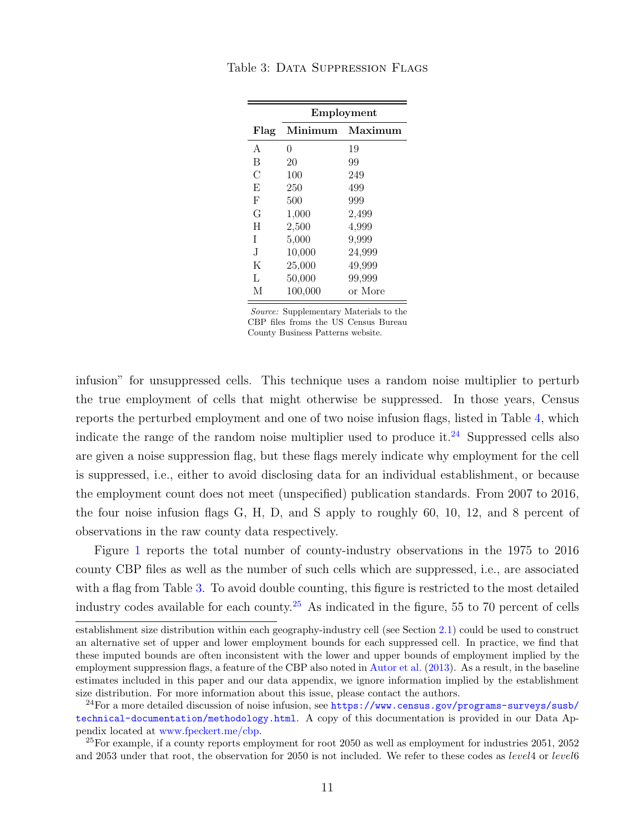|      | Employment |         |  |  |
|------|------------|---------|--|--|
| Flag | Minimum    | Maximum |  |  |
| A    | 0          | 19      |  |  |
| B    | 20         | 99      |  |  |
| С    | 100        | 249     |  |  |
| E    | 250        | 499     |  |  |
| F    | 500        | 999     |  |  |
| G    | 1,000      | 2,499   |  |  |
| H    | 2,500      | 4,999   |  |  |
| T    | 5,000      | 9,999   |  |  |
| .T   | 10,000     | 24,999  |  |  |
| K    | 25,000     | 49,999  |  |  |
| L    | 50,000     | 99,999  |  |  |
| М    | 100.000    | or More |  |  |

<span id="page-10-0"></span>Table 3: DATA SUPPRESSION FLAGS

Source: Supplementary Materials to the CBP files froms the US Census Bureau County Business Patterns website.

infusion" for unsuppressed cells. This technique uses a random noise multiplier to perturb the true employment of cells that might otherwise be suppressed. In those years, Census reports the perturbed employment and one of two noise infusion flags, listed in Table [4,](#page-11-0) which indicate the range of the random noise multiplier used to produce it.<sup>[24](#page-10-1)</sup> Suppressed cells also are given a noise suppression flag, but these flags merely indicate why employment for the cell is suppressed, i.e., either to avoid disclosing data for an individual establishment, or because the employment count does not meet (unspecified) publication standards. From 2007 to 2016, the four noise infusion flags G, H, D, and S apply to roughly 60, 10, 12, and 8 percent of observations in the raw county data respectively.

Figure [1](#page-12-0) reports the total number of county-industry observations in the 1975 to 2016 county CBP files as well as the number of such cells which are suppressed, i.e., are associated with a flag from Table [3.](#page-10-0) To avoid double counting, this figure is restricted to the most detailed industry codes available for each county.[25](#page-10-2) As indicated in the figure, 55 to 70 percent of cells

establishment size distribution within each geography-industry cell (see Section [2.1\)](#page-5-4) could be used to construct an alternative set of upper and lower employment bounds for each suppressed cell. In practice, we find that these imputed bounds are often inconsistent with the lower and upper bounds of employment implied by the employment suppression flags, a feature of the CBP also noted in [Autor et al.](#page-37-0) [\(2013\)](#page-37-0). As a result, in the baseline estimates included in this paper and our data appendix, we ignore information implied by the establishment size distribution. For more information about this issue, please contact the authors.

<span id="page-10-1"></span><sup>&</sup>lt;sup>24</sup>For a more detailed discussion of noise infusion, see [https://www.census.gov/programs-surveys/susb/](https://www.census.gov/programs-surveys/susb/technical-documentation/methodology.html) [technical-documentation/methodology.html](https://www.census.gov/programs-surveys/susb/technical-documentation/methodology.html). A copy of this documentation is provided in our Data Appendix located at [www.fpeckert.me/cbp.](http://www.fpeckert.me/cbp)

<span id="page-10-2"></span> $^{25}$ For example, if a county reports employment for root 2050 as well as employment for industries 2051, 2052 and 2053 under that root, the observation for 2050 is not included. We refer to these codes as *level*4 or *level*6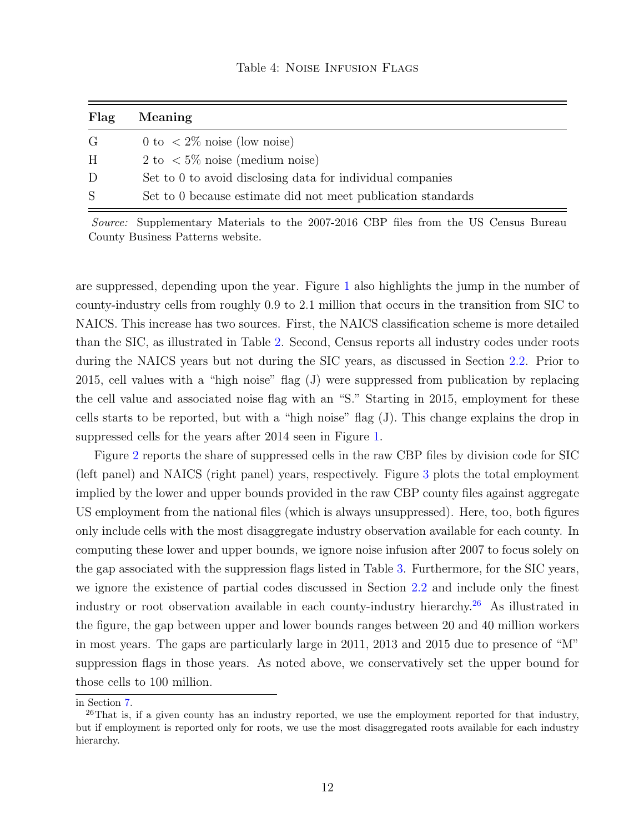<span id="page-11-0"></span>

| Flag | <b>Meaning</b>                                               |
|------|--------------------------------------------------------------|
| G    | 0 to $\langle 2\% \rangle$ noise (low noise)                 |
| H    | 2 to $\langle 5\% \text{ noise} \rangle$ (medium noise)      |
| D    | Set to 0 to avoid disclosing data for individual companies   |
| S    | Set to 0 because estimate did not meet publication standards |

Source: Supplementary Materials to the 2007-2016 CBP files from the US Census Bureau County Business Patterns website.

are suppressed, depending upon the year. Figure [1](#page-12-0) also highlights the jump in the number of county-industry cells from roughly 0.9 to 2.1 million that occurs in the transition from SIC to NAICS. This increase has two sources. First, the NAICS classification scheme is more detailed than the SIC, as illustrated in Table [2.](#page-7-0) Second, Census reports all industry codes under roots during the NAICS years but not during the SIC years, as discussed in Section [2.2.](#page-7-2) Prior to 2015, cell values with a "high noise" flag (J) were suppressed from publication by replacing the cell value and associated noise flag with an "S." Starting in 2015, employment for these cells starts to be reported, but with a "high noise" flag (J). This change explains the drop in suppressed cells for the years after 2014 seen in Figure [1.](#page-12-0)

Figure [2](#page-14-0) reports the share of suppressed cells in the raw CBP files by division code for SIC (left panel) and NAICS (right panel) years, respectively. Figure [3](#page-15-0) plots the total employment implied by the lower and upper bounds provided in the raw CBP county files against aggregate US employment from the national files (which is always unsuppressed). Here, too, both figures only include cells with the most disaggregate industry observation available for each county. In computing these lower and upper bounds, we ignore noise infusion after 2007 to focus solely on the gap associated with the suppression flags listed in Table [3.](#page-10-0) Furthermore, for the SIC years, we ignore the existence of partial codes discussed in Section [2.2](#page-7-2) and include only the finest industry or root observation available in each county-industry hierarchy.[26](#page-11-1) As illustrated in the figure, the gap between upper and lower bounds ranges between 20 and 40 million workers in most years. The gaps are particularly large in 2011, 2013 and 2015 due to presence of "M" suppression flags in those years. As noted above, we conservatively set the upper bound for those cells to 100 million.

in Section [7.](#page-31-0)

<span id="page-11-1"></span> $^{26}$ That is, if a given county has an industry reported, we use the employment reported for that industry, but if employment is reported only for roots, we use the most disaggregated roots available for each industry hierarchy.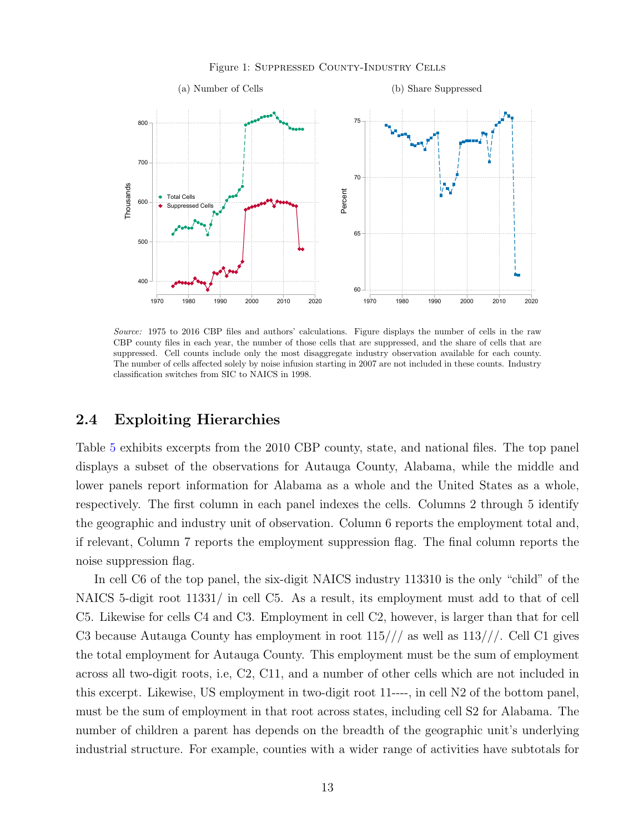#### Figure 1: Suppressed County-Industry Cells

<span id="page-12-0"></span>

Source: 1975 to 2016 CBP files and authors' calculations. Figure displays the number of cells in the raw CBP county files in each year, the number of those cells that are suppressed, and the share of cells that are suppressed. Cell counts include only the most disaggregate industry observation available for each county. The number of cells affected solely by noise infusion starting in 2007 are not included in these counts. Industry classification switches from SIC to NAICS in 1998.

#### 2.4 Exploiting Hierarchies

Table [5](#page-13-0) exhibits excerpts from the 2010 CBP county, state, and national files. The top panel displays a subset of the observations for Autauga County, Alabama, while the middle and lower panels report information for Alabama as a whole and the United States as a whole, respectively. The first column in each panel indexes the cells. Columns 2 through 5 identify the geographic and industry unit of observation. Column 6 reports the employment total and, if relevant, Column 7 reports the employment suppression flag. The final column reports the noise suppression flag.

In cell C6 of the top panel, the six-digit NAICS industry 113310 is the only "child" of the NAICS 5-digit root 11331/ in cell C5. As a result, its employment must add to that of cell C5. Likewise for cells C4 and C3. Employment in cell C2, however, is larger than that for cell C3 because Autauga County has employment in root 115/// as well as 113///. Cell C1 gives the total employment for Autauga County. This employment must be the sum of employment across all two-digit roots, i.e, C2, C11, and a number of other cells which are not included in this excerpt. Likewise, US employment in two-digit root 11----, in cell N2 of the bottom panel, must be the sum of employment in that root across states, including cell S2 for Alabama. The number of children a parent has depends on the breadth of the geographic unit's underlying industrial structure. For example, counties with a wider range of activities have subtotals for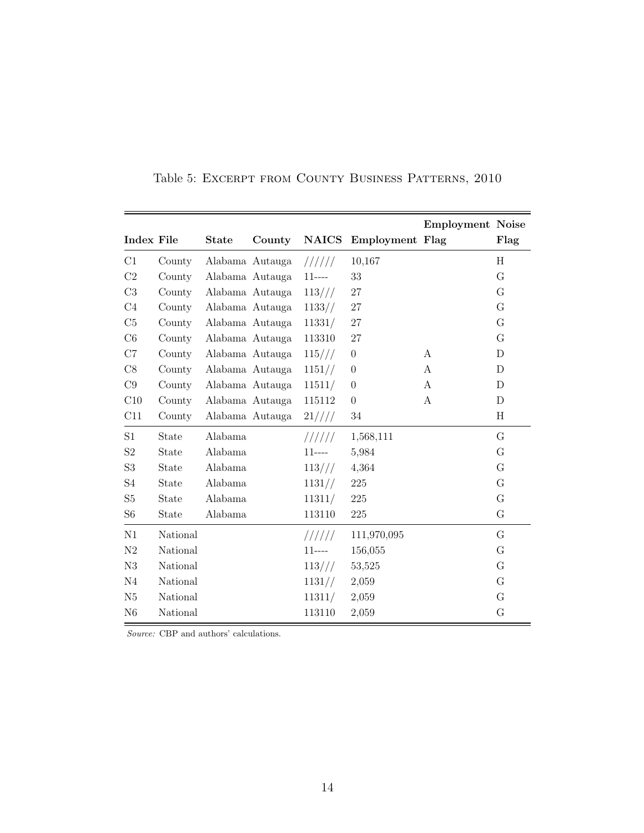<span id="page-13-0"></span>

|                   |          |                 |                 |              |                  | <b>Employment Noise</b> |                |
|-------------------|----------|-----------------|-----------------|--------------|------------------|-------------------------|----------------|
| <b>Index File</b> |          | <b>State</b>    | County          | <b>NAICS</b> | Employment Flag  |                         | Flag           |
| C1                | County   |                 | Alabama Autauga | 111111       | 10,167           |                         | H              |
| C2                | County   |                 | Alabama Autauga | $11---$      | 33               |                         | G              |
| C <sub>3</sub>    | County   |                 | Alabama Autauga | 113///       | 27               |                         | $\overline{G}$ |
| C <sub>4</sub>    | County   |                 | Alabama Autauga | 1133//       | 27               |                         | G              |
| C5                | County   |                 | Alabama Autauga | 11331/       | 27               |                         | G              |
| C6                | County   |                 | Alabama Autauga | 113310       | 27               |                         | G              |
| C7                | County   |                 | Alabama Autauga | 115///       | $\boldsymbol{0}$ | A                       | D              |
| C8                | County   |                 | Alabama Autauga | 1151/        | $\overline{0}$   | A                       | D              |
| C9                | County   |                 | Alabama Autauga | 11511/       | $\boldsymbol{0}$ | А                       | D              |
| C10               | County   | Alabama Autauga |                 | 115112       | $\boldsymbol{0}$ | А                       | D              |
| C11               | County   |                 | Alabama Autauga | 21////       | 34               |                         | Η              |
| S <sub>1</sub>    | State    | Alabama         |                 | 111111       | 1,568,111        |                         | G              |
| S <sub>2</sub>    | State    | Alabama         |                 | $11---$      | 5,984            |                         | G              |
| S <sub>3</sub>    | State    | Alabama         |                 | 113///       | 4,364            |                         | G              |
| S <sub>4</sub>    | State    | Alabama         |                 | 1131/        | 225              |                         | G              |
| S <sub>5</sub>    | State    | Alabama         |                 | 11311/       | $225\,$          |                         | G              |
| S <sub>6</sub>    | State    | Alabama         |                 | 113110       | 225              |                         | G              |
| N1                | National |                 |                 | 111111       | 111,970,095      |                         | G              |
| N <sub>2</sub>    | National |                 |                 | $11$ ----    | 156,055          |                         | G              |
| N3                | National |                 |                 | 113///       | 53,525           |                         | G              |
| N <sub>4</sub>    | National |                 |                 | 1131//       | 2,059            |                         | G              |
| N5                | National |                 |                 | 11311/       | 2,059            |                         | G              |
| N <sub>6</sub>    | National |                 |                 | 113110       | 2,059            |                         | G              |

Table 5: Excerpt from County Business Patterns, 2010

Source: CBP and authors' calculations.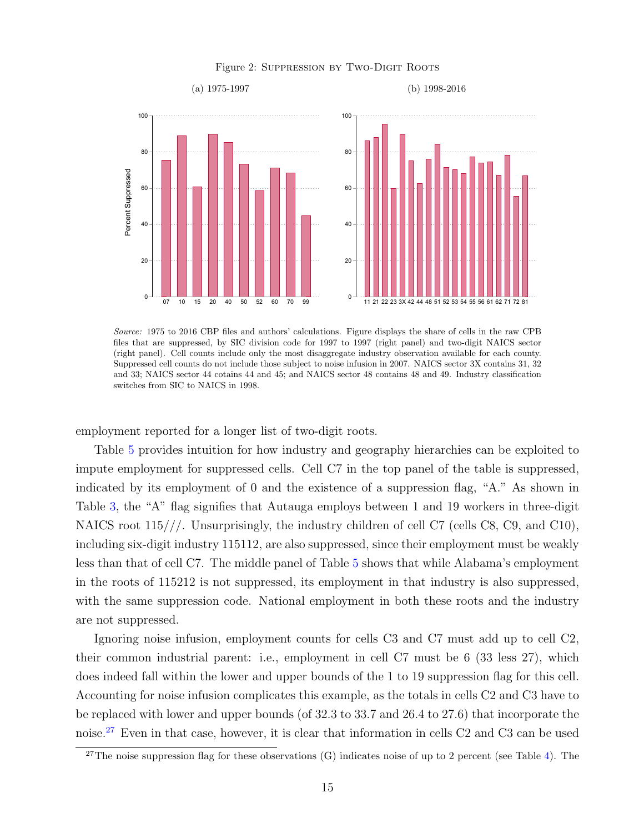#### Figure 2: SUPPRESSION BY TWO-DIGIT ROOTS

<span id="page-14-0"></span>

Source: 1975 to 2016 CBP files and authors' calculations. Figure displays the share of cells in the raw CPB files that are suppressed, by SIC division code for 1997 to 1997 (right panel) and two-digit NAICS sector (right panel). Cell counts include only the most disaggregate industry observation available for each county. Suppressed cell counts do not include those subject to noise infusion in 2007. NAICS sector 3X contains 31, 32 and 33; NAICS sector 44 cotains 44 and 45; and NAICS sector 48 contains 48 and 49. Industry classification switches from SIC to NAICS in 1998.

employment reported for a longer list of two-digit roots.

Table [5](#page-13-0) provides intuition for how industry and geography hierarchies can be exploited to impute employment for suppressed cells. Cell C7 in the top panel of the table is suppressed, indicated by its employment of 0 and the existence of a suppression flag, "A." As shown in Table [3,](#page-10-0) the "A" flag signifies that Autauga employs between 1 and 19 workers in three-digit NAICS root 115///. Unsurprisingly, the industry children of cell C7 (cells C8, C9, and C10), including six-digit industry 115112, are also suppressed, since their employment must be weakly less than that of cell C7. The middle panel of Table [5](#page-13-0) shows that while Alabama's employment in the roots of 115212 is not suppressed, its employment in that industry is also suppressed, with the same suppression code. National employment in both these roots and the industry are not suppressed.

Ignoring noise infusion, employment counts for cells C3 and C7 must add up to cell C2, their common industrial parent: i.e., employment in cell C7 must be 6 (33 less 27), which does indeed fall within the lower and upper bounds of the 1 to 19 suppression flag for this cell. Accounting for noise infusion complicates this example, as the totals in cells C2 and C3 have to be replaced with lower and upper bounds (of 32.3 to 33.7 and 26.4 to 27.6) that incorporate the noise.[27](#page-14-1) Even in that case, however, it is clear that information in cells C2 and C3 can be used

<span id="page-14-1"></span> $27$ The noise suppression flag for these observations (G) indicates noise of up to 2 percent (see Table [4\)](#page-11-0). The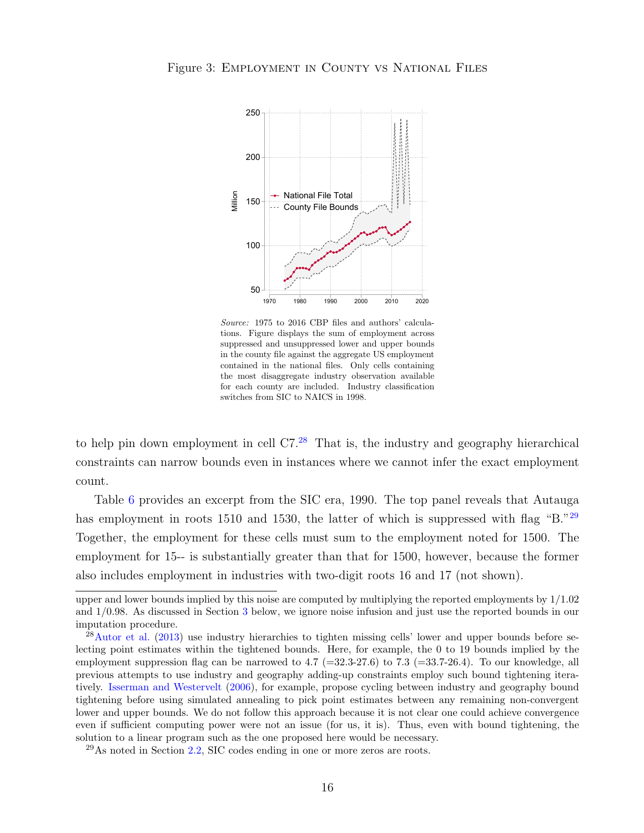<span id="page-15-0"></span>

Source: 1975 to 2016 CBP files and authors' calculations. Figure displays the sum of employment across suppressed and unsuppressed lower and upper bounds in the county file against the aggregate US employment contained in the national files. Only cells containing the most disaggregate industry observation available for each county are included. Industry classification switches from SIC to NAICS in 1998.

to help pin down employment in cell  $C7<sup>28</sup>$  $C7<sup>28</sup>$  $C7<sup>28</sup>$ . That is, the industry and geography hierarchical constraints can narrow bounds even in instances where we cannot infer the exact employment count.

Table [6](#page-16-0) provides an excerpt from the SIC era, 1990. The top panel reveals that Autauga has employment in roots 1510 and 1530, the latter of which is suppressed with flag "B."<sup>[29](#page-15-2)</sup> Together, the employment for these cells must sum to the employment noted for 1500. The employment for 15-- is substantially greater than that for 1500, however, because the former also includes employment in industries with two-digit roots 16 and 17 (not shown).

upper and lower bounds implied by this noise are computed by multiplying the reported employments by  $1/1.02$ and 1/0.98. As discussed in Section [3](#page-17-0) below, we ignore noise infusion and just use the reported bounds in our imputation procedure.

<span id="page-15-1"></span> $28$ [Autor et al.](#page-37-0) [\(2013\)](#page-37-0) use industry hierarchies to tighten missing cells' lower and upper bounds before selecting point estimates within the tightened bounds. Here, for example, the 0 to 19 bounds implied by the employment suppression flag can be narrowed to 4.7 ( $=$ 32.3-27.6) to 7.3 ( $=$ 33.7-26.4). To our knowledge, all previous attempts to use industry and geography adding-up constraints employ such bound tightening iteratively. [Isserman and Westervelt](#page-38-5) [\(2006\)](#page-38-5), for example, propose cycling between industry and geography bound tightening before using simulated annealing to pick point estimates between any remaining non-convergent lower and upper bounds. We do not follow this approach because it is not clear one could achieve convergence even if sufficient computing power were not an issue (for us, it is). Thus, even with bound tightening, the solution to a linear program such as the one proposed here would be necessary.

<span id="page-15-2"></span> $^{29}$ As noted in Section [2.2,](#page-7-2) SIC codes ending in one or more zeros are roots.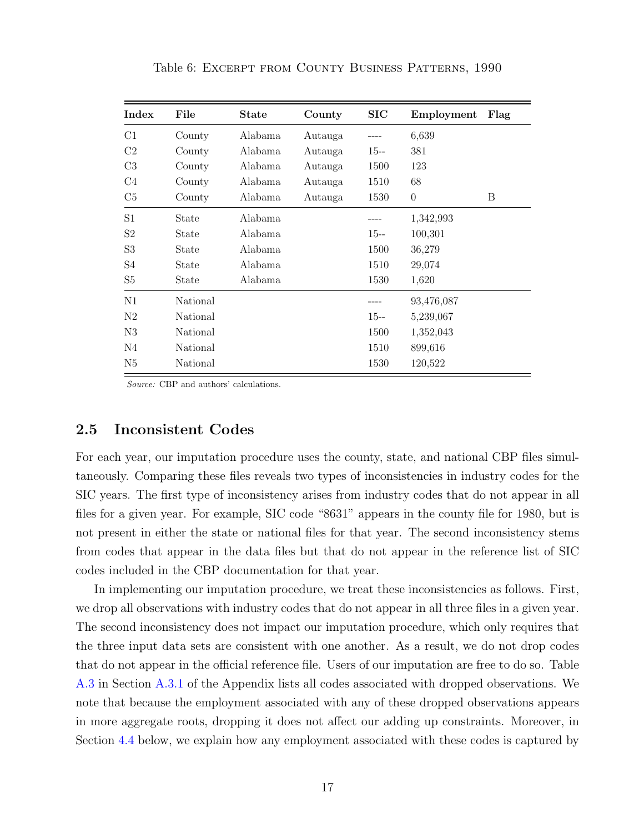<span id="page-16-0"></span>

| Index          | File     | <b>State</b> | County  | $\rm SIC$ | Employment | Flag |
|----------------|----------|--------------|---------|-----------|------------|------|
| C1             | County   | Alabama      | Autauga |           | 6,639      |      |
| C2             | County   | Alabama      | Autauga | $15 -$    | 381        |      |
| C <sub>3</sub> | County   | Alabama      | Autauga | 1500      | 123        |      |
| C4             | County   | Alabama      | Autauga | 1510      | 68         |      |
| C5             | County   | Alabama      | Autauga | 1530      | $\theta$   | B    |
| S1             | State    | Alabama      |         |           | 1,342,993  |      |
| S <sub>2</sub> | State    | Alabama      |         | $15 -$    | 100,301    |      |
| S <sub>3</sub> | State    | Alabama      |         | 1500      | 36,279     |      |
| S <sub>4</sub> | State    | Alabama      |         | 1510      | 29,074     |      |
| S <sub>5</sub> | State    | Alabama      |         | 1530      | 1,620      |      |
| N1             | National |              |         |           | 93,476,087 |      |
| N <sub>2</sub> | National |              |         | $15 -$    | 5,239,067  |      |
| N3             | National |              |         | 1500      | 1,352,043  |      |
| N <sub>4</sub> | National |              |         | 1510      | 899,616    |      |
| N5             | National |              |         | 1530      | 120,522    |      |

Table 6: Excerpt from County Business Patterns, 1990

Source: CBP and authors' calculations.

#### 2.5 Inconsistent Codes

For each year, our imputation procedure uses the county, state, and national CBP files simultaneously. Comparing these files reveals two types of inconsistencies in industry codes for the SIC years. The first type of inconsistency arises from industry codes that do not appear in all files for a given year. For example, SIC code "8631" appears in the county file for 1980, but is not present in either the state or national files for that year. The second inconsistency stems from codes that appear in the data files but that do not appear in the reference list of SIC codes included in the CBP documentation for that year.

In implementing our imputation procedure, we treat these inconsistencies as follows. First, we drop all observations with industry codes that do not appear in all three files in a given year. The second inconsistency does not impact our imputation procedure, which only requires that the three input data sets are consistent with one another. As a result, we do not drop codes that do not appear in the official reference file. Users of our imputation are free to do so. Table [A.3](#page-43-0) in Section [A.3.1](#page-39-1) of the Appendix lists all codes associated with dropped observations. We note that because the employment associated with any of these dropped observations appears in more aggregate roots, dropping it does not affect our adding up constraints. Moreover, in Section [4.4](#page-23-0) below, we explain how any employment associated with these codes is captured by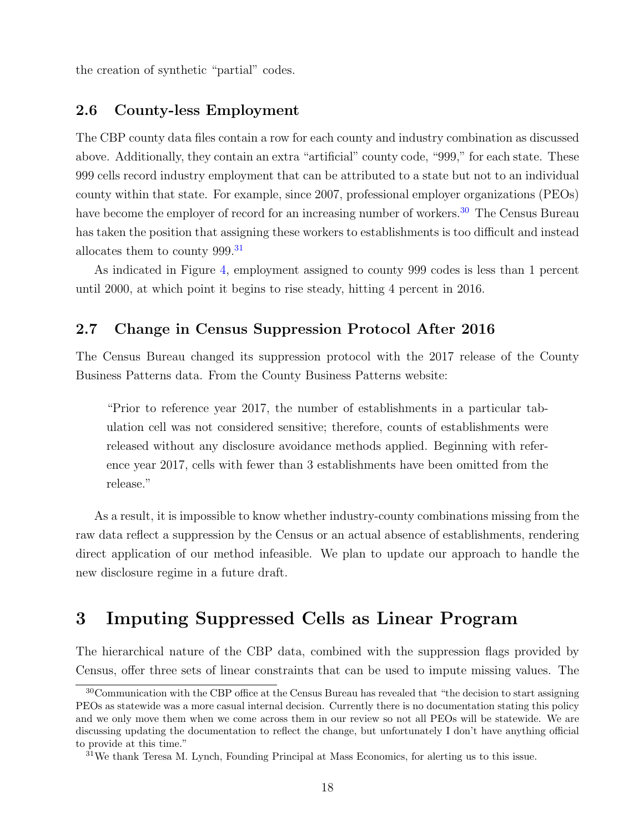the creation of synthetic "partial" codes.

#### <span id="page-17-1"></span>2.6 County-less Employment

The CBP county data files contain a row for each county and industry combination as discussed above. Additionally, they contain an extra "artificial" county code, "999," for each state. These 999 cells record industry employment that can be attributed to a state but not to an individual county within that state. For example, since 2007, professional employer organizations (PEOs) have become the employer of record for an increasing number of workers.<sup>[30](#page-17-2)</sup> The Census Bureau has taken the position that assigning these workers to establishments is too difficult and instead allocates them to county 999.<sup>[31](#page-17-3)</sup>

As indicated in Figure [4,](#page-18-0) employment assigned to county 999 codes is less than 1 percent until 2000, at which point it begins to rise steady, hitting 4 percent in 2016.

#### 2.7 Change in Census Suppression Protocol After 2016

The Census Bureau changed its suppression protocol with the 2017 release of the County Business Patterns data. From the County Business Patterns website:

"Prior to reference year 2017, the number of establishments in a particular tabulation cell was not considered sensitive; therefore, counts of establishments were released without any disclosure avoidance methods applied. Beginning with reference year 2017, cells with fewer than 3 establishments have been omitted from the release."

As a result, it is impossible to know whether industry-county combinations missing from the raw data reflect a suppression by the Census or an actual absence of establishments, rendering direct application of our method infeasible. We plan to update our approach to handle the new disclosure regime in a future draft.

## <span id="page-17-0"></span>3 Imputing Suppressed Cells as Linear Program

The hierarchical nature of the CBP data, combined with the suppression flags provided by Census, offer three sets of linear constraints that can be used to impute missing values. The

<span id="page-17-2"></span><sup>30</sup>Communication with the CBP office at the Census Bureau has revealed that "the decision to start assigning PEOs as statewide was a more casual internal decision. Currently there is no documentation stating this policy and we only move them when we come across them in our review so not all PEOs will be statewide. We are discussing updating the documentation to reflect the change, but unfortunately I don't have anything official to provide at this time."

<span id="page-17-3"></span> $31$ We thank Teresa M. Lynch, Founding Principal at Mass Economics, for alerting us to this issue.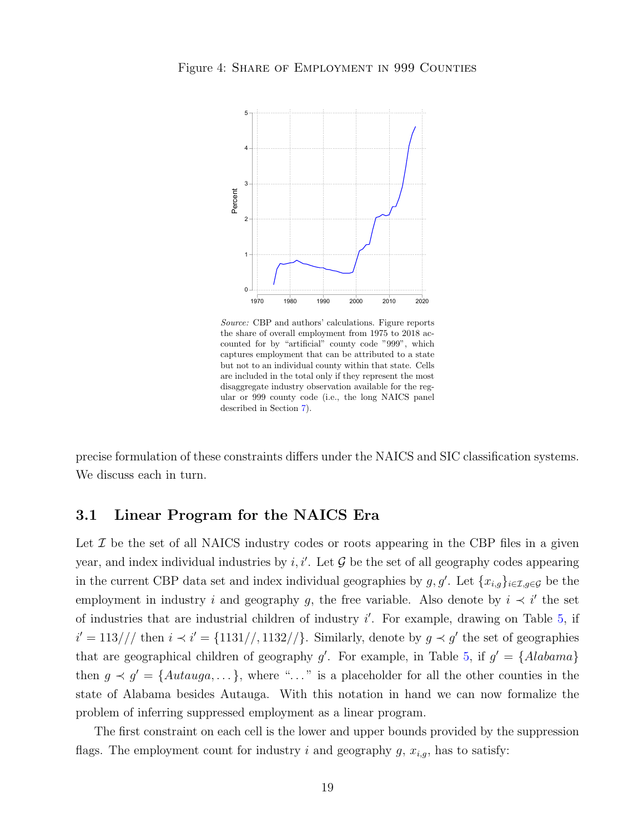

<span id="page-18-0"></span>Figure 4: Share of Employment in 999 Counties

Source: CBP and authors' calculations. Figure reports the share of overall employment from 1975 to 2018 accounted for by "artificial" county code "999", which captures employment that can be attributed to a state but not to an individual county within that state. Cells are included in the total only if they represent the most disaggregate industry observation available for the regular or 999 county code (i.e., the long NAICS panel described in Section [7\)](#page-31-0).

 $0$  -dependence of parameters  $\phi$  and an explanation of parameters  $\phi$  . The contract of parameters  $\phi$ 

1970 1980 1990 2000 2010 2020

precise formulation of these constraints differs under the NAICS and SIC classification systems. We discuss each in turn.

#### 3.1 Linear Program for the NAICS Era

Let  $\mathcal I$  be the set of all NAICS industry codes or roots appearing in the CBP files in a given year, and index individual industries by  $i, i'$ . Let  $\mathcal G$  be the set of all geography codes appearing in the current CBP data set and index individual geographies by  $g, g'$ . Let  $\{x_{i,g}\}_{i\in\mathcal{I},g\in\mathcal{G}}$  be the employment in industry i and geography g, the free variable. Also denote by  $i \prec i'$  the set of industries that are industrial children of industry  $i'$ . For example, drawing on Table [5,](#page-13-0) if  $i' = 113//\$  then  $i \prec i' = \{1131//1132//\}$ . Similarly, denote by  $g \prec g'$  the set of geographies that are geographical children of geography  $g'$ . For example, in Table [5,](#page-13-0) if  $g' = \{Alabama\}$ then  $g \prec g' = \{Autauga, \dots\}$ , where "..." is a placeholder for all the other counties in the state of Alabama besides Autauga. With this notation in hand we can now formalize the problem of inferring suppressed employment as a linear program.

The first constraint on each cell is the lower and upper bounds provided by the suppression flags. The employment count for industry i and geography  $g$ ,  $x_{i,g}$ , has to satisfy: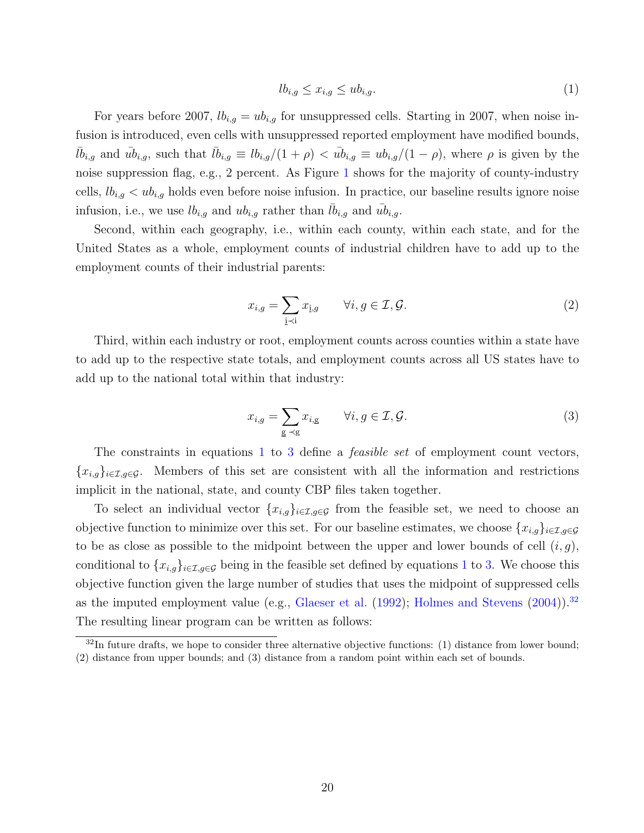<span id="page-19-0"></span>
$$
lb_{i,g} \le x_{i,g} \le ub_{i,g}.\tag{1}
$$

For years before 2007,  $lb_{i,g} = ub_{i,g}$  for unsuppressed cells. Starting in 2007, when noise infusion is introduced, even cells with unsuppressed reported employment have modified bounds,  $l\bar{b}_{i,g}$  and  $\bar{u}_{i,g}$ , such that  $l\bar{b}_{i,g} \equiv l b_{i,g}/(1+\rho) < \bar{u}_{i,g} \equiv u b_{i,g}/(1-\rho)$ , where  $\rho$  is given by the noise suppression flag, e.g., 2 percent. As Figure [1](#page-12-0) shows for the majority of county-industry cells,  $lb_{i,q} < ub_{i,q}$  holds even before noise infusion. In practice, our baseline results ignore noise infusion, i.e., we use  $lb_{i,g}$  and  $ub_{i,g}$  rather than  $\bar{lb}_{i,g}$  and  $\bar{ub}_{i,g}$ .

Second, within each geography, i.e., within each county, within each state, and for the United States as a whole, employment counts of industrial children have to add up to the employment counts of their industrial parents:

<span id="page-19-3"></span>
$$
x_{i,g} = \sum_{j \prec i} x_{j,g} \qquad \forall i, g \in \mathcal{I}, \mathcal{G}. \tag{2}
$$

Third, within each industry or root, employment counts across counties within a state have to add up to the respective state totals, and employment counts across all US states have to add up to the national total within that industry:

<span id="page-19-1"></span>
$$
x_{i,g} = \sum_{g \prec g} x_{i,g} \qquad \forall i, g \in \mathcal{I}, \mathcal{G}.
$$
 (3)

The constraints in equations [1](#page-19-0) to [3](#page-19-1) define a *feasible set* of employment count vectors,  ${x_{i,q}}_{i\in\mathcal{I},q\in\mathcal{G}}$ . Members of this set are consistent with all the information and restrictions implicit in the national, state, and county CBP files taken together.

To select an individual vector  ${x_{i,g}}_{i\in\mathcal{I},g\in\mathcal{G}}$  from the feasible set, we need to choose an objective function to minimize over this set. For our baseline estimates, we choose  $\{x_{i,g}\}_{i\in\mathcal{I},g\in\mathcal{G}}$ to be as close as possible to the midpoint between the upper and lower bounds of cell  $(i, g)$ , conditional to  $\{x_{i,g}\}_{i\in\mathcal{I},g\in\mathcal{G}}$  being in the feasible set defined by equations [1](#page-19-0) to [3.](#page-19-1) We choose this objective function given the large number of studies that uses the midpoint of suppressed cells as the imputed employment value (e.g., [Glaeser et al.](#page-38-0)  $(1992)$ ; [Holmes and Stevens](#page-38-1)  $(2004)$ ).<sup>[32](#page-19-2)</sup> The resulting linear program can be written as follows:

<span id="page-19-2"></span> $32$ In future drafts, we hope to consider three alternative objective functions: (1) distance from lower bound; (2) distance from upper bounds; and (3) distance from a random point within each set of bounds.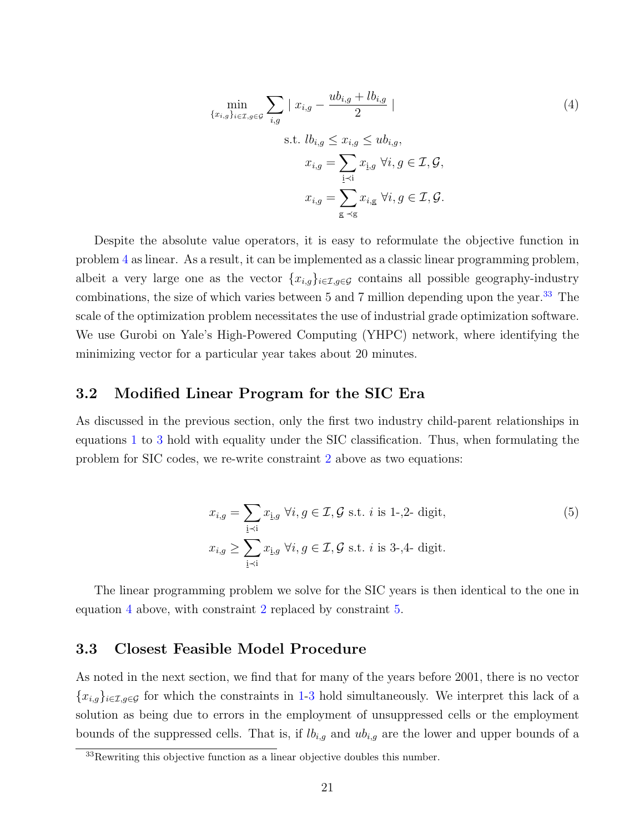<span id="page-20-0"></span>
$$
\min_{\{x_{i,g}\}_{i\in\mathcal{I},g\in\mathcal{G}}}\sum_{i,g}|x_{i,g}-\frac{ub_{i,g}+lb_{i,g}}{2}|
$$
\n
$$
\text{s.t. }lb_{i,g}\leq x_{i,g}\leq ub_{i,g},
$$
\n
$$
x_{i,g}=\sum_{\substack{i\prec i\\i\leq j}}x_{i,g} \,\forall i,g\in\mathcal{I},\mathcal{G},
$$
\n
$$
x_{i,g}=\sum_{\substack{g\prec g}}x_{i,g} \,\forall i,g\in\mathcal{I},\mathcal{G}.
$$
\n
$$
(4)
$$

Despite the absolute value operators, it is easy to reformulate the objective function in problem [4](#page-20-0) as linear. As a result, it can be implemented as a classic linear programming problem, albeit a very large one as the vector  $\{x_{i,q}\}_{i\in\mathcal{I},q\in\mathcal{G}}$  contains all possible geography-industry combinations, the size of which varies between 5 and 7 million depending upon the year.<sup>[33](#page-20-1)</sup> The scale of the optimization problem necessitates the use of industrial grade optimization software. We use Gurobi on Yale's High-Powered Computing (YHPC) network, where identifying the minimizing vector for a particular year takes about 20 minutes.

#### 3.2 Modified Linear Program for the SIC Era

As discussed in the previous section, only the first two industry child-parent relationships in equations [1](#page-19-0) to [3](#page-19-1) hold with equality under the SIC classification. Thus, when formulating the problem for SIC codes, we re-write constraint [2](#page-19-3) above as two equations:

<span id="page-20-2"></span>
$$
x_{i,g} = \sum_{\underline{i} \prec \underline{i}} x_{\underline{i},g} \ \forall i, g \in \mathcal{I}, \mathcal{G} \text{ s.t. } i \text{ is 1--,2- digit},
$$
  
\n
$$
x_{i,g} \ge \sum_{\underline{i} \prec \underline{i}} x_{\underline{i},g} \ \forall i, g \in \mathcal{I}, \mathcal{G} \text{ s.t. } i \text{ is 3--,4- digit}.
$$
 (5)

The linear programming problem we solve for the SIC years is then identical to the one in equation [4](#page-20-0) above, with constraint [2](#page-19-3) replaced by constraint [5.](#page-20-2)

#### <span id="page-20-3"></span>3.3 Closest Feasible Model Procedure

As noted in the next section, we find that for many of the years before 2001, there is no vector  ${x_{i,g}}_{i\in\mathcal{I},g\in\mathcal{G}}$  for which the constraints in [1-](#page-19-0)[3](#page-19-1) hold simultaneously. We interpret this lack of a solution as being due to errors in the employment of unsuppressed cells or the employment bounds of the suppressed cells. That is, if  $lb_{i,q}$  and  $ub_{i,q}$  are the lower and upper bounds of a

<span id="page-20-1"></span> $33$ Rewriting this objective function as a linear objective doubles this number.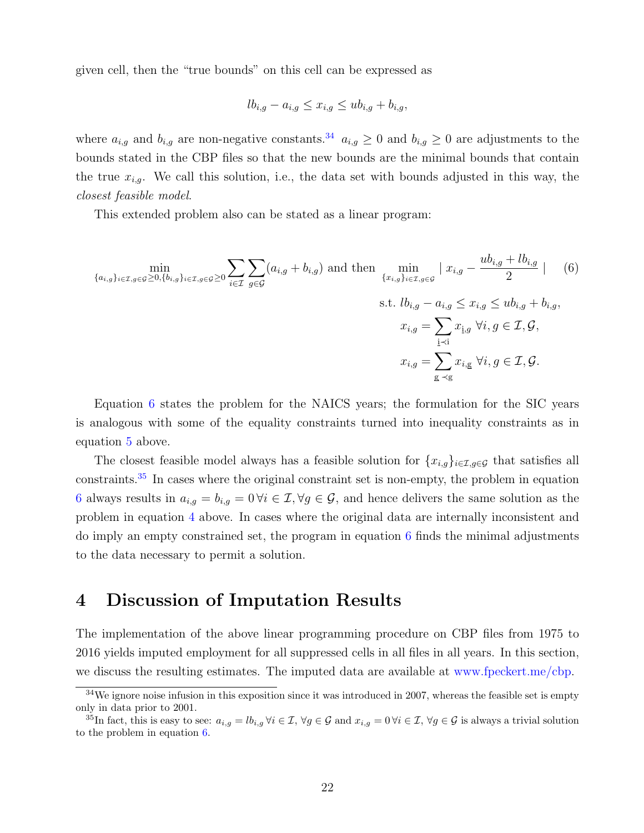given cell, then the "true bounds" on this cell can be expressed as

<span id="page-21-2"></span>
$$
lb_{i,g} - a_{i,g} \leq x_{i,g} \leq ub_{i,g} + b_{i,g},
$$

where  $a_{i,g}$  and  $b_{i,g}$  are non-negative constants.<sup>[34](#page-21-1)</sup>  $a_{i,g} \geq 0$  and  $b_{i,g} \geq 0$  are adjustments to the bounds stated in the CBP files so that the new bounds are the minimal bounds that contain the true  $x_{i,g}$ . We call this solution, i.e., the data set with bounds adjusted in this way, the closest feasible model.

This extended problem also can be stated as a linear program:

$$
\begin{aligned}\n\min_{\{a_{i,g}\}_{i\in\mathcal{I},g\in\mathcal{G}}\geq 0,\{b_{i,g}\}_{i\in\mathcal{I},g\in\mathcal{G}}\geq 0} \sum_{i\in\mathcal{I}} \sum_{g\in\mathcal{G}} (a_{i,g} + b_{i,g}) \text{ and then } \min_{\{x_{i,g}\}_{i\in\mathcal{I},g\in\mathcal{G}} \mid x_{i,g} - \frac{ub_{i,g} + lb_{i,g}}{2} \mid \quad (6) \\
&\text{s.t. } lb_{i,g} - a_{i,g} \leq x_{i,g} \leq ub_{i,g} + b_{i,g}, \\
&x_{i,g} = \sum_{\underline{i}\prec i} x_{\underline{i},g} \ \forall i, g \in \mathcal{I}, \mathcal{G}, \\
&x_{i,g} = \sum_{\underline{g}\prec g} x_{i,g} \ \forall i, g \in \mathcal{I}, \mathcal{G}.\n\end{aligned}
$$

Equation [6](#page-21-2) states the problem for the NAICS years; the formulation for the SIC years is analogous with some of the equality constraints turned into inequality constraints as in equation [5](#page-20-2) above.

The closest feasible model always has a feasible solution for  $\{x_{i,g}\}_{i\in\mathcal{I},g\in\mathcal{G}}$  that satisfies all constraints.[35](#page-21-3) In cases where the original constraint set is non-empty, the problem in equation [6](#page-21-2) always results in  $a_{i,g} = b_{i,g} = 0 \forall i \in \mathcal{I}, \forall g \in \mathcal{G}$ , and hence delivers the same solution as the problem in equation [4](#page-20-0) above. In cases where the original data are internally inconsistent and do imply an empty constrained set, the program in equation [6](#page-21-2) finds the minimal adjustments to the data necessary to permit a solution.

## <span id="page-21-0"></span>4 Discussion of Imputation Results

The implementation of the above linear programming procedure on CBP files from 1975 to 2016 yields imputed employment for all suppressed cells in all files in all years. In this section, we discuss the resulting estimates. The imputed data are available at [www.fpeckert.me/cbp.](http://www.fpeckert.me/cbp)

<span id="page-21-1"></span> $34$ We ignore noise infusion in this exposition since it was introduced in 2007, whereas the feasible set is empty only in data prior to 2001.

<span id="page-21-3"></span><sup>&</sup>lt;sup>35</sup>In fact, this is easy to see:  $a_{i,g} = lb_{i,g} \ \forall i \in \mathcal{I}, \ \forall g \in \mathcal{G} \text{ and } x_{i,g} = 0 \ \forall i \in \mathcal{I}, \ \forall g \in \mathcal{G} \text{ is always a trivial solution}$ to the problem in equation [6.](#page-21-2)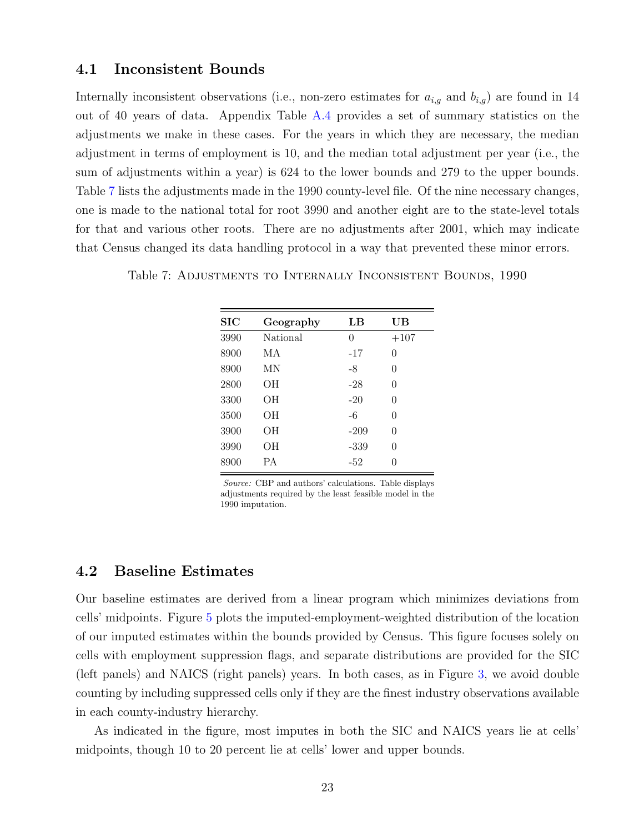#### 4.1 Inconsistent Bounds

Internally inconsistent observations (i.e., non-zero estimates for  $a_{i,g}$  and  $b_{i,g}$ ) are found in 14 out of 40 years of data. Appendix Table [A.4](#page-44-0) provides a set of summary statistics on the adjustments we make in these cases. For the years in which they are necessary, the median adjustment in terms of employment is 10, and the median total adjustment per year (i.e., the sum of adjustments within a year) is 624 to the lower bounds and 279 to the upper bounds. Table [7](#page-22-0) lists the adjustments made in the 1990 county-level file. Of the nine necessary changes, one is made to the national total for root 3990 and another eight are to the state-level totals for that and various other roots. There are no adjustments after 2001, which may indicate that Census changed its data handling protocol in a way that prevented these minor errors.

| $\rm SIC$ | Geography | LВ     | UВ               |
|-----------|-----------|--------|------------------|
| 3990      | National  | 0      | $+107$           |
| 8900      | МA        | -17    | $\left( \right)$ |
| 8900      | ΜN        | -8     | 0                |
| 2800      | OН        | -28    | 0                |
| 3300      | OН        | $-20$  | 0                |
| 3500      | OН        | -6     | 0                |
| 3900      | OН        | $-209$ | 0                |
| 3990      | OН        | $-339$ | 0                |
| 8900      | PА        | $-52$  |                  |

<span id="page-22-0"></span>Table 7: Adjustments to Internally Inconsistent Bounds, 1990

Source: CBP and authors' calculations. Table displays adjustments required by the least feasible model in the 1990 imputation.

#### 4.2 Baseline Estimates

Our baseline estimates are derived from a linear program which minimizes deviations from cells' midpoints. Figure [5](#page-23-1) plots the imputed-employment-weighted distribution of the location of our imputed estimates within the bounds provided by Census. This figure focuses solely on cells with employment suppression flags, and separate distributions are provided for the SIC (left panels) and NAICS (right panels) years. In both cases, as in Figure [3,](#page-15-0) we avoid double counting by including suppressed cells only if they are the finest industry observations available in each county-industry hierarchy.

As indicated in the figure, most imputes in both the SIC and NAICS years lie at cells' midpoints, though 10 to 20 percent lie at cells' lower and upper bounds.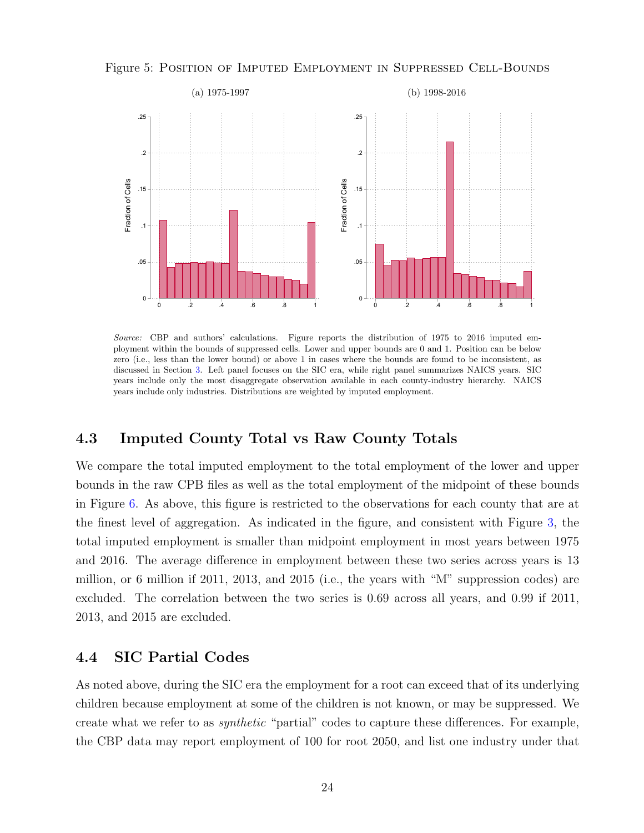

<span id="page-23-1"></span>Figure 5: Position of Imputed Employment in Suppressed Cell-Bounds

Source: CBP and authors' calculations. Figure reports the distribution of 1975 to 2016 imputed employment within the bounds of suppressed cells. Lower and upper bounds are 0 and 1. Position can be below zero (i.e., less than the lower bound) or above 1 in cases where the bounds are found to be inconsistent, as discussed in Section [3.](#page-17-0) Left panel focuses on the SIC era, while right panel summarizes NAICS years. SIC years include only the most disaggregate observation available in each county-industry hierarchy. NAICS years include only industries. Distributions are weighted by imputed employment.

## 4.3 Imputed County Total vs Raw County Totals

We compare the total imputed employment to the total employment of the lower and upper bounds in the raw CPB files as well as the total employment of the midpoint of these bounds in Figure [6.](#page-24-0) As above, this figure is restricted to the observations for each county that are at the finest level of aggregation. As indicated in the figure, and consistent with Figure [3,](#page-15-0) the total imputed employment is smaller than midpoint employment in most years between 1975 and 2016. The average difference in employment between these two series across years is 13 million, or 6 million if 2011, 2013, and 2015 (i.e., the years with "M" suppression codes) are excluded. The correlation between the two series is 0.69 across all years, and 0.99 if 2011, 2013, and 2015 are excluded.

#### <span id="page-23-0"></span>4.4 SIC Partial Codes

As noted above, during the SIC era the employment for a root can exceed that of its underlying children because employment at some of the children is not known, or may be suppressed. We create what we refer to as synthetic "partial" codes to capture these differences. For example, the CBP data may report employment of 100 for root 2050, and list one industry under that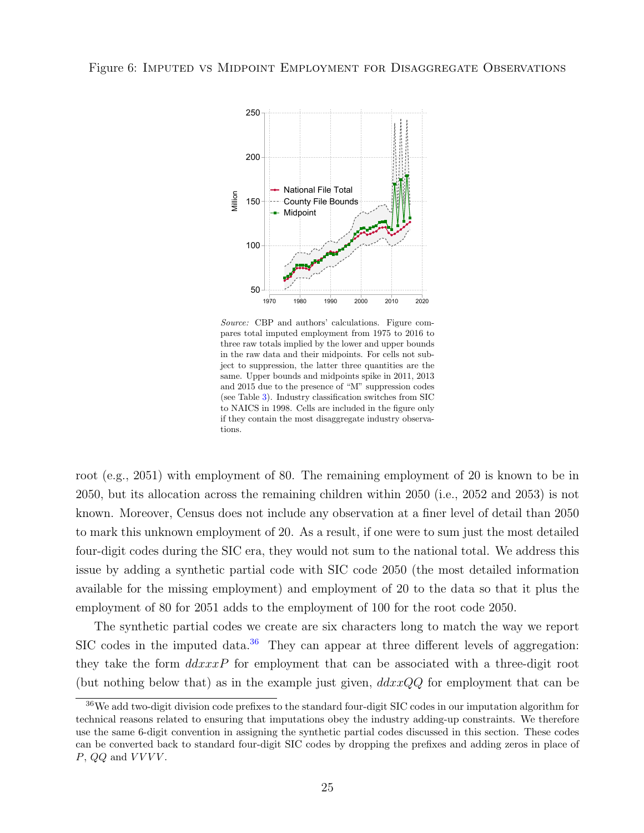<span id="page-24-0"></span>

Source: CBP and authors' calculations. Figure compares total imputed employment from 1975 to 2016 to three raw totals implied by the lower and upper bounds in the raw data and their midpoints. For cells not subject to suppression, the latter three quantities are the same. Upper bounds and midpoints spike in 2011, 2013 and 2015 due to the presence of "M" suppression codes (see Table [3\)](#page-10-0). Industry classification switches from SIC to NAICS in 1998. Cells are included in the figure only if they contain the most disaggregate industry observations.

root (e.g., 2051) with employment of 80. The remaining employment of 20 is known to be in 2050, but its allocation across the remaining children within 2050 (i.e., 2052 and 2053) is not known. Moreover, Census does not include any observation at a finer level of detail than 2050 to mark this unknown employment of 20. As a result, if one were to sum just the most detailed four-digit codes during the SIC era, they would not sum to the national total. We address this issue by adding a synthetic partial code with SIC code 2050 (the most detailed information available for the missing employment) and employment of 20 to the data so that it plus the employment of 80 for 2051 adds to the employment of 100 for the root code 2050.

The synthetic partial codes we create are six characters long to match the way we report SIC codes in the imputed data. $36$  They can appear at three different levels of aggregation: they take the form  $ddxxxP$  for employment that can be associated with a three-digit root (but nothing below that) as in the example just given,  $ddxxQQ$  for employment that can be

<span id="page-24-1"></span> $36\text{We add two-digit division code prefixes to the standard four-digit SIC codes in our imputation algorithm for }$ technical reasons related to ensuring that imputations obey the industry adding-up constraints. We therefore use the same 6-digit convention in assigning the synthetic partial codes discussed in this section. These codes can be converted back to standard four-digit SIC codes by dropping the prefixes and adding zeros in place of  $P, QQ$  and  $VVVV$ .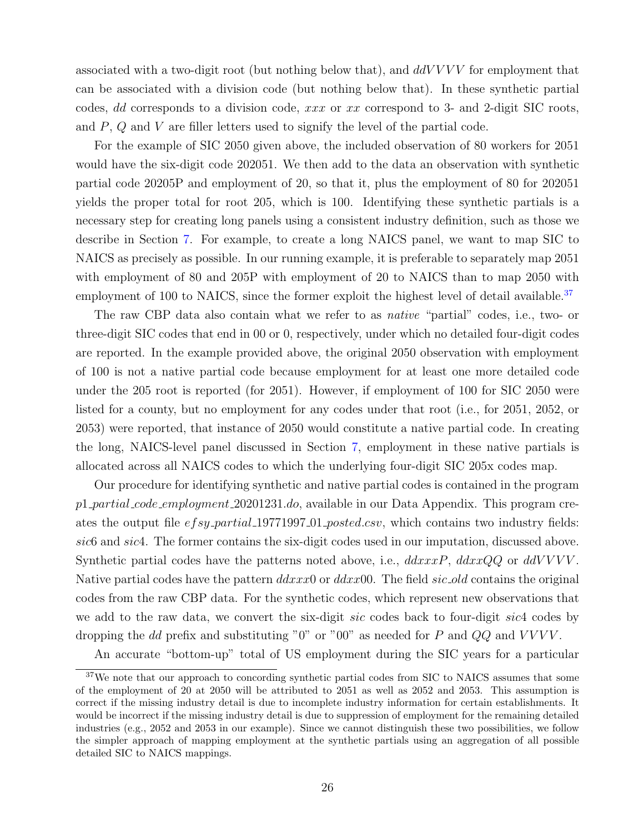associated with a two-digit root (but nothing below that), and  $ddVVVV$  for employment that can be associated with a division code (but nothing below that). In these synthetic partial codes, dd corresponds to a division code, xxx or xx correspond to 3- and 2-digit SIC roots, and P, Q and V are filler letters used to signify the level of the partial code.

For the example of SIC 2050 given above, the included observation of 80 workers for 2051 would have the six-digit code 202051. We then add to the data an observation with synthetic partial code 20205P and employment of 20, so that it, plus the employment of 80 for 202051 yields the proper total for root 205, which is 100. Identifying these synthetic partials is a necessary step for creating long panels using a consistent industry definition, such as those we describe in Section [7.](#page-31-0) For example, to create a long NAICS panel, we want to map SIC to NAICS as precisely as possible. In our running example, it is preferable to separately map 2051 with employment of 80 and 205P with employment of 20 to NAICS than to map 2050 with employment of 100 to NAICS, since the former exploit the highest level of detail available.<sup>[37](#page-25-0)</sup>

The raw CBP data also contain what we refer to as *native* "partial" codes, i.e., two- or three-digit SIC codes that end in 00 or 0, respectively, under which no detailed four-digit codes are reported. In the example provided above, the original 2050 observation with employment of 100 is not a native partial code because employment for at least one more detailed code under the 205 root is reported (for 2051). However, if employment of 100 for SIC 2050 were listed for a county, but no employment for any codes under that root (i.e., for 2051, 2052, or 2053) were reported, that instance of 2050 would constitute a native partial code. In creating the long, NAICS-level panel discussed in Section [7,](#page-31-0) employment in these native partials is allocated across all NAICS codes to which the underlying four-digit SIC 205x codes map.

Our procedure for identifying synthetic and native partial codes is contained in the program p1 partial code employment 20201231.do, available in our Data Appendix. This program creates the output file efsy\_partial\_19771997\_01\_posted.csv, which contains two industry fields: sic6 and sic4. The former contains the six-digit codes used in our imputation, discussed above. Synthetic partial codes have the patterns noted above, i.e.,  $ddxxxP$ ,  $ddxxQQ$  or  $ddVVVV$ . Native partial codes have the pattern  $ddxxx0$  or  $ddxx00$ . The field  $sic\_old$  contains the original codes from the raw CBP data. For the synthetic codes, which represent new observations that we add to the raw data, we convert the six-digit sic codes back to four-digit sic4 codes by dropping the dd prefix and substituting "0" or "00" as needed for P and  $QQ$  and VVVV.

An accurate "bottom-up" total of US employment during the SIC years for a particular

<span id="page-25-0"></span><sup>&</sup>lt;sup>37</sup>We note that our approach to concording synthetic partial codes from SIC to NAICS assumes that some of the employment of 20 at 2050 will be attributed to 2051 as well as 2052 and 2053. This assumption is correct if the missing industry detail is due to incomplete industry information for certain establishments. It would be incorrect if the missing industry detail is due to suppression of employment for the remaining detailed industries (e.g., 2052 and 2053 in our example). Since we cannot distinguish these two possibilities, we follow the simpler approach of mapping employment at the synthetic partials using an aggregation of all possible detailed SIC to NAICS mappings.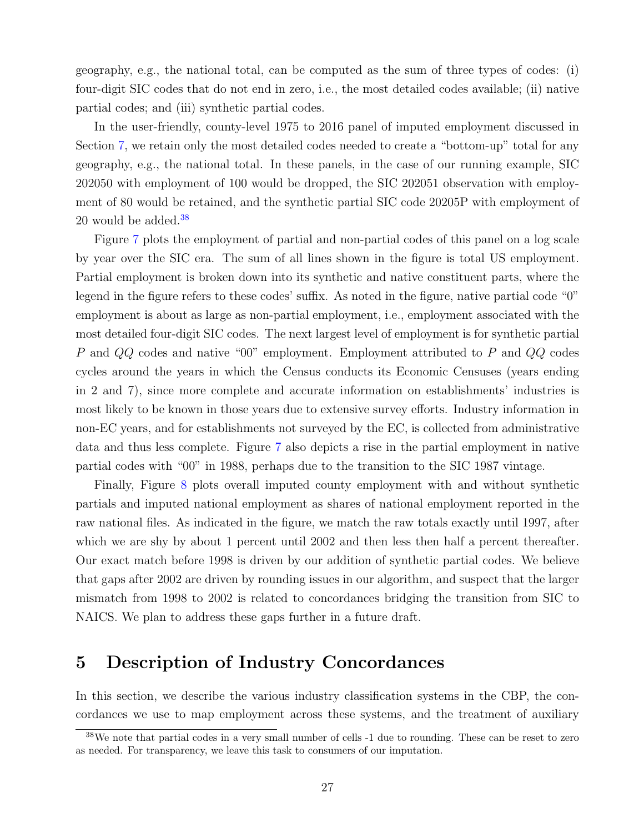geography, e.g., the national total, can be computed as the sum of three types of codes: (i) four-digit SIC codes that do not end in zero, i.e., the most detailed codes available; (ii) native partial codes; and (iii) synthetic partial codes.

In the user-friendly, county-level 1975 to 2016 panel of imputed employment discussed in Section [7,](#page-31-0) we retain only the most detailed codes needed to create a "bottom-up" total for any geography, e.g., the national total. In these panels, in the case of our running example, SIC 202050 with employment of 100 would be dropped, the SIC 202051 observation with employment of 80 would be retained, and the synthetic partial SIC code 20205P with employment of 20 would be added.<sup>[38](#page-26-1)</sup>

Figure [7](#page-27-0) plots the employment of partial and non-partial codes of this panel on a log scale by year over the SIC era. The sum of all lines shown in the figure is total US employment. Partial employment is broken down into its synthetic and native constituent parts, where the legend in the figure refers to these codes' suffix. As noted in the figure, native partial code "0" employment is about as large as non-partial employment, i.e., employment associated with the most detailed four-digit SIC codes. The next largest level of employment is for synthetic partial P and QQ codes and native "00" employment. Employment attributed to P and QQ codes cycles around the years in which the Census conducts its Economic Censuses (years ending in 2 and 7), since more complete and accurate information on establishments' industries is most likely to be known in those years due to extensive survey efforts. Industry information in non-EC years, and for establishments not surveyed by the EC, is collected from administrative data and thus less complete. Figure [7](#page-27-0) also depicts a rise in the partial employment in native partial codes with "00" in 1988, perhaps due to the transition to the SIC 1987 vintage.

Finally, Figure [8](#page-28-0) plots overall imputed county employment with and without synthetic partials and imputed national employment as shares of national employment reported in the raw national files. As indicated in the figure, we match the raw totals exactly until 1997, after which we are shy by about 1 percent until 2002 and then less then half a percent thereafter. Our exact match before 1998 is driven by our addition of synthetic partial codes. We believe that gaps after 2002 are driven by rounding issues in our algorithm, and suspect that the larger mismatch from 1998 to 2002 is related to concordances bridging the transition from SIC to NAICS. We plan to address these gaps further in a future draft.

## <span id="page-26-0"></span>5 Description of Industry Concordances

In this section, we describe the various industry classification systems in the CBP, the concordances we use to map employment across these systems, and the treatment of auxiliary

<span id="page-26-1"></span><sup>38</sup>We note that partial codes in a very small number of cells -1 due to rounding. These can be reset to zero as needed. For transparency, we leave this task to consumers of our imputation.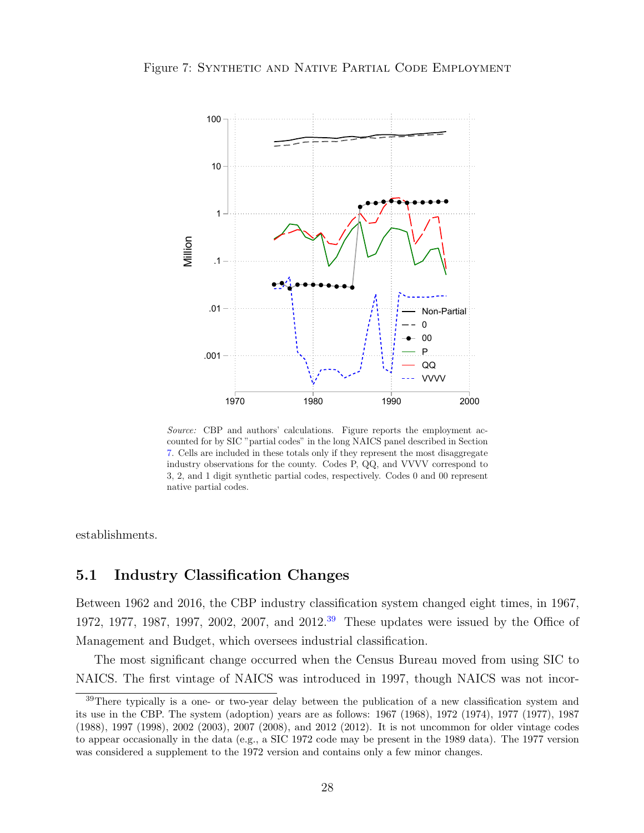

<span id="page-27-0"></span>Figure 7: SYNTHETIC AND NATIVE PARTIAL CODE EMPLOYMENT

Source: CBP and authors' calculations. Figure reports the employment accounted for by SIC "partial codes" in the long NAICS panel described in Section [7.](#page-31-0) Cells are included in these totals only if they represent the most disaggregate industry observations for the county. Codes P, QQ, and VVVV correspond to 3, 2, and 1 digit synthetic partial codes, respectively. Codes 0 and 00 represent native partial codes.

establishments.

#### 5.1 Industry Classification Changes

Between 1962 and 2016, the CBP industry classification system changed eight times, in 1967, 1972, 1977, 1987, 1997, 2002, 2007, and 2012.[39](#page-27-1) These updates were issued by the Office of Management and Budget, which oversees industrial classification.

The most significant change occurred when the Census Bureau moved from using SIC to NAICS. The first vintage of NAICS was introduced in 1997, though NAICS was not incor-

<span id="page-27-1"></span><sup>&</sup>lt;sup>39</sup>There typically is a one- or two-year delay between the publication of a new classification system and its use in the CBP. The system (adoption) years are as follows: 1967 (1968), 1972 (1974), 1977 (1977), 1987 (1988), 1997 (1998), 2002 (2003), 2007 (2008), and 2012 (2012). It is not uncommon for older vintage codes to appear occasionally in the data (e.g., a SIC 1972 code may be present in the 1989 data). The 1977 version was considered a supplement to the 1972 version and contains only a few minor changes.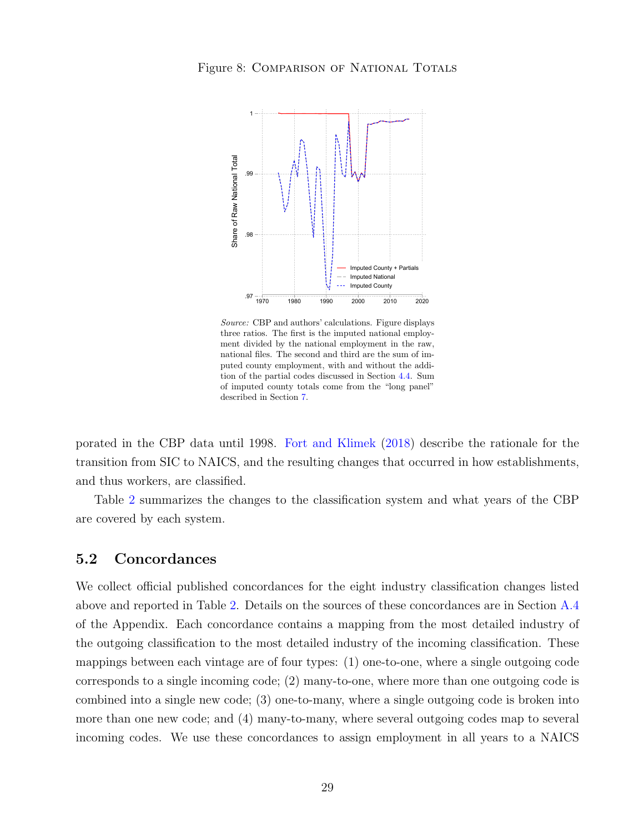<span id="page-28-0"></span>

Source: CBP and authors' calculations. Figure displays three ratios. The first is the imputed national employment divided by the national employment in the raw, national files. The second and third are the sum of imputed county employment, with and without the addition of the partial codes discussed in Section [4.4.](#page-23-0) Sum of imputed county totals come from the "long panel" described in Section [7.](#page-31-0)

porated in the CBP data until 1998. [Fort and Klimek](#page-37-8) [\(2018\)](#page-37-8) describe the rationale for the transition from SIC to NAICS, and the resulting changes that occurred in how establishments, and thus workers, are classified.

Table [2](#page-7-0) summarizes the changes to the classification system and what years of the CBP are covered by each system.

#### <span id="page-28-1"></span>5.2 Concordances

We collect official published concordances for the eight industry classification changes listed above and reported in Table [2.](#page-7-0) Details on the sources of these concordances are in Section [A.4](#page-40-0) of the Appendix. Each concordance contains a mapping from the most detailed industry of the outgoing classification to the most detailed industry of the incoming classification. These mappings between each vintage are of four types: (1) one-to-one, where a single outgoing code corresponds to a single incoming code; (2) many-to-one, where more than one outgoing code is combined into a single new code; (3) one-to-many, where a single outgoing code is broken into more than one new code; and (4) many-to-many, where several outgoing codes map to several incoming codes. We use these concordances to assign employment in all years to a NAICS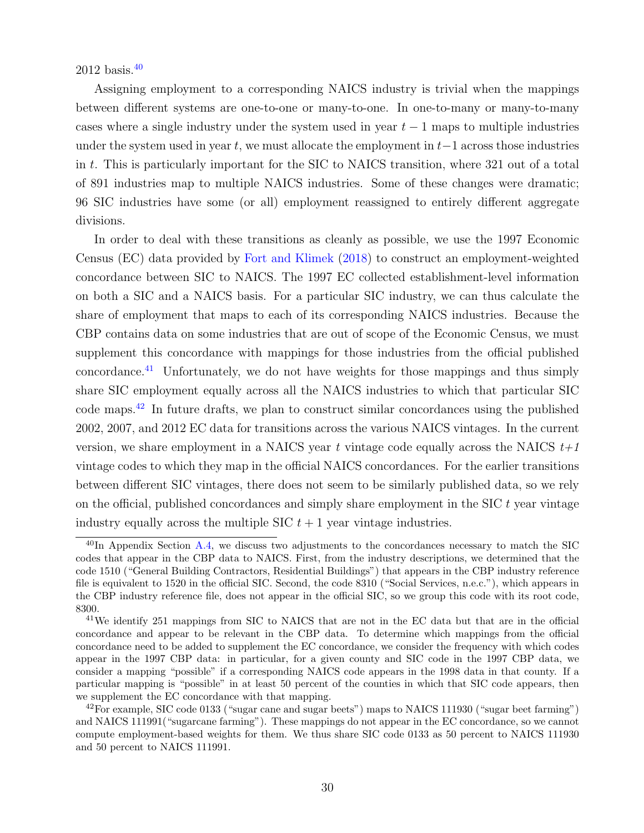2012 basis.[40](#page-29-0)

Assigning employment to a corresponding NAICS industry is trivial when the mappings between different systems are one-to-one or many-to-one. In one-to-many or many-to-many cases where a single industry under the system used in year  $t-1$  maps to multiple industries under the system used in year t, we must allocate the employment in  $t-1$  across those industries in t. This is particularly important for the SIC to NAICS transition, where 321 out of a total of 891 industries map to multiple NAICS industries. Some of these changes were dramatic; 96 SIC industries have some (or all) employment reassigned to entirely different aggregate divisions.

In order to deal with these transitions as cleanly as possible, we use the 1997 Economic Census (EC) data provided by [Fort and Klimek](#page-37-8) [\(2018\)](#page-37-8) to construct an employment-weighted concordance between SIC to NAICS. The 1997 EC collected establishment-level information on both a SIC and a NAICS basis. For a particular SIC industry, we can thus calculate the share of employment that maps to each of its corresponding NAICS industries. Because the CBP contains data on some industries that are out of scope of the Economic Census, we must supplement this concordance with mappings for those industries from the official published concordance.<sup>[41](#page-29-1)</sup> Unfortunately, we do not have weights for those mappings and thus simply share SIC employment equally across all the NAICS industries to which that particular SIC code maps.[42](#page-29-2) In future drafts, we plan to construct similar concordances using the published 2002, 2007, and 2012 EC data for transitions across the various NAICS vintages. In the current version, we share employment in a NAICS year t vintage code equally across the NAICS  $t+1$ vintage codes to which they map in the official NAICS concordances. For the earlier transitions between different SIC vintages, there does not seem to be similarly published data, so we rely on the official, published concordances and simply share employment in the SIC  $t$  year vintage industry equally across the multiple SIC  $t + 1$  year vintage industries.

<span id="page-29-0"></span> $^{40}$ In Appendix Section [A.4,](#page-40-0) we discuss two adjustments to the concordances necessary to match the SIC codes that appear in the CBP data to NAICS. First, from the industry descriptions, we determined that the code 1510 ("General Building Contractors, Residential Buildings") that appears in the CBP industry reference file is equivalent to 1520 in the official SIC. Second, the code 8310 ("Social Services, n.e.c."), which appears in the CBP industry reference file, does not appear in the official SIC, so we group this code with its root code, 8300.

<span id="page-29-1"></span><sup>41</sup>We identify 251 mappings from SIC to NAICS that are not in the EC data but that are in the official concordance and appear to be relevant in the CBP data. To determine which mappings from the official concordance need to be added to supplement the EC concordance, we consider the frequency with which codes appear in the 1997 CBP data: in particular, for a given county and SIC code in the 1997 CBP data, we consider a mapping "possible" if a corresponding NAICS code appears in the 1998 data in that county. If a particular mapping is "possible" in at least 50 percent of the counties in which that SIC code appears, then we supplement the EC concordance with that mapping.

<span id="page-29-2"></span><sup>42</sup>For example, SIC code 0133 ("sugar cane and sugar beets") maps to NAICS 111930 ("sugar beet farming") and NAICS 111991("sugarcane farming"). These mappings do not appear in the EC concordance, so we cannot compute employment-based weights for them. We thus share SIC code 0133 as 50 percent to NAICS 111930 and 50 percent to NAICS 111991.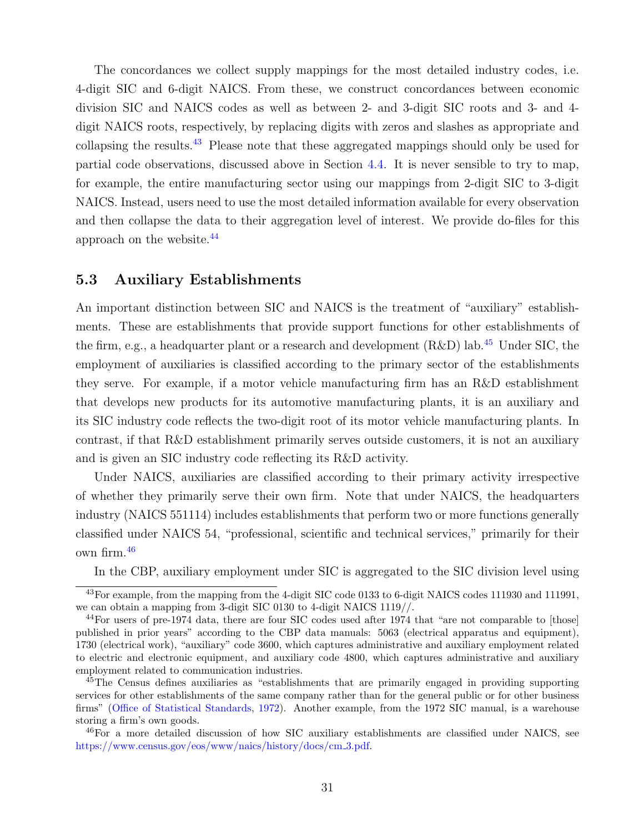The concordances we collect supply mappings for the most detailed industry codes, i.e. 4-digit SIC and 6-digit NAICS. From these, we construct concordances between economic division SIC and NAICS codes as well as between 2- and 3-digit SIC roots and 3- and 4 digit NAICS roots, respectively, by replacing digits with zeros and slashes as appropriate and collapsing the results.<sup>[43](#page-30-0)</sup> Please note that these aggregated mappings should only be used for partial code observations, discussed above in Section [4.4.](#page-23-0) It is never sensible to try to map, for example, the entire manufacturing sector using our mappings from 2-digit SIC to 3-digit NAICS. Instead, users need to use the most detailed information available for every observation and then collapse the data to their aggregation level of interest. We provide do-files for this approach on the website.[44](#page-30-1)

#### 5.3 Auxiliary Establishments

An important distinction between SIC and NAICS is the treatment of "auxiliary" establishments. These are establishments that provide support functions for other establishments of the firm, e.g., a headquarter plant or a research and development  $(R&D)$  lab.<sup>[45](#page-30-2)</sup> Under SIC, the employment of auxiliaries is classified according to the primary sector of the establishments they serve. For example, if a motor vehicle manufacturing firm has an R&D establishment that develops new products for its automotive manufacturing plants, it is an auxiliary and its SIC industry code reflects the two-digit root of its motor vehicle manufacturing plants. In contrast, if that R&D establishment primarily serves outside customers, it is not an auxiliary and is given an SIC industry code reflecting its R&D activity.

Under NAICS, auxiliaries are classified according to their primary activity irrespective of whether they primarily serve their own firm. Note that under NAICS, the headquarters industry (NAICS 551114) includes establishments that perform two or more functions generally classified under NAICS 54, "professional, scientific and technical services," primarily for their own firm.[46](#page-30-3)

In the CBP, auxiliary employment under SIC is aggregated to the SIC division level using

<span id="page-30-0"></span><sup>&</sup>lt;sup>43</sup>For example, from the mapping from the 4-digit SIC code 0133 to 6-digit NAICS codes 111930 and 111991, we can obtain a mapping from 3-digit SIC 0130 to 4-digit NAICS 1119//.

<span id="page-30-1"></span><sup>&</sup>lt;sup>44</sup>For users of pre-1974 data, there are four SIC codes used after 1974 that "are not comparable to [those] published in prior years" according to the CBP data manuals: 5063 (electrical apparatus and equipment), 1730 (electrical work), "auxiliary" code 3600, which captures administrative and auxiliary employment related to electric and electronic equipment, and auxiliary code 4800, which captures administrative and auxiliary employment related to communication industries.

<span id="page-30-2"></span><sup>&</sup>lt;sup>45</sup>The Census defines auxiliaries as "establishments that are primarily engaged in providing supporting services for other establishments of the same company rather than for the general public or for other business firms" [\(Office of Statistical Standards,](#page-38-7) [1972\)](#page-38-7). Another example, from the 1972 SIC manual, is a warehouse storing a firm's own goods.

<span id="page-30-3"></span><sup>46</sup>For a more detailed discussion of how SIC auxiliary establishments are classified under NAICS, see [https://www.census.gov/eos/www/naics/history/docs/cm](https://www.census.gov/eos/www/naics/history/docs/cm_3.pdf) 3.pdf.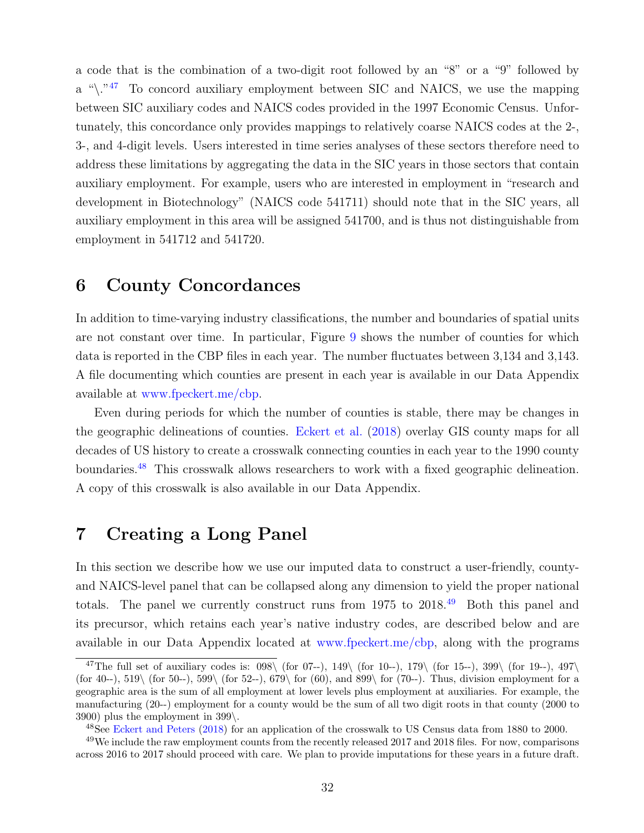a code that is the combination of a two-digit root followed by an "8" or a "9" followed by a " $\langle$ ."<sup>[47](#page-31-2)</sup> To concord auxiliary employment between SIC and NAICS, we use the mapping between SIC auxiliary codes and NAICS codes provided in the 1997 Economic Census. Unfortunately, this concordance only provides mappings to relatively coarse NAICS codes at the 2-, 3-, and 4-digit levels. Users interested in time series analyses of these sectors therefore need to address these limitations by aggregating the data in the SIC years in those sectors that contain auxiliary employment. For example, users who are interested in employment in "research and development in Biotechnology" (NAICS code 541711) should note that in the SIC years, all auxiliary employment in this area will be assigned 541700, and is thus not distinguishable from employment in 541712 and 541720.

## <span id="page-31-1"></span>6 County Concordances

In addition to time-varying industry classifications, the number and boundaries of spatial units are not constant over time. In particular, Figure [9](#page-32-0) shows the number of counties for which data is reported in the CBP files in each year. The number fluctuates between 3,134 and 3,143. A file documenting which counties are present in each year is available in our Data Appendix available at [www.fpeckert.me/cbp.](http://www.fpeckert.me/cbp)

Even during periods for which the number of counties is stable, there may be changes in the geographic delineations of counties. [Eckert et al.](#page-37-11) [\(2018\)](#page-37-11) overlay GIS county maps for all decades of US history to create a crosswalk connecting counties in each year to the 1990 county boundaries.<sup>[48](#page-31-3)</sup> This crosswalk allows researchers to work with a fixed geographic delineation. A copy of this crosswalk is also available in our Data Appendix.

## <span id="page-31-0"></span>7 Creating a Long Panel

In this section we describe how we use our imputed data to construct a user-friendly, countyand NAICS-level panel that can be collapsed along any dimension to yield the proper national totals. The panel we currently construct runs from 1975 to 2018.<sup>[49](#page-31-4)</sup> Both this panel and its precursor, which retains each year's native industry codes, are described below and are available in our Data Appendix located at [www.fpeckert.me/cbp,](http://www.fpeckert.me/cbp) along with the programs

<span id="page-31-2"></span><sup>&</sup>lt;sup>47</sup>The full set of auxiliary codes is:  $098\sqrt{\frac{607-1}{19}}$ ,  $149\sqrt{\frac{607-1}{19}}$ ,  $179\sqrt{\frac{607-1}{19}}$ ,  $399\sqrt{\frac{607-1}{19}}$ ,  $497\sqrt{\frac{607-1}{19}}$ (for 40--), 519\ (for 50--), 599\ (for 52--), 679\ for (60), and 899\ for (70--). Thus, division employment for a geographic area is the sum of all employment at lower levels plus employment at auxiliaries. For example, the manufacturing (20--) employment for a county would be the sum of all two digit roots in that county (2000 to 3900) plus the employment in 399\.

<span id="page-31-4"></span><span id="page-31-3"></span><sup>&</sup>lt;sup>48</sup>See [Eckert and Peters](#page-37-12) [\(2018\)](#page-37-12) for an application of the crosswalk to US Census data from 1880 to 2000.

<sup>&</sup>lt;sup>49</sup>We include the raw employment counts from the recently released 2017 and 2018 files. For now, comparisons across 2016 to 2017 should proceed with care. We plan to provide imputations for these years in a future draft.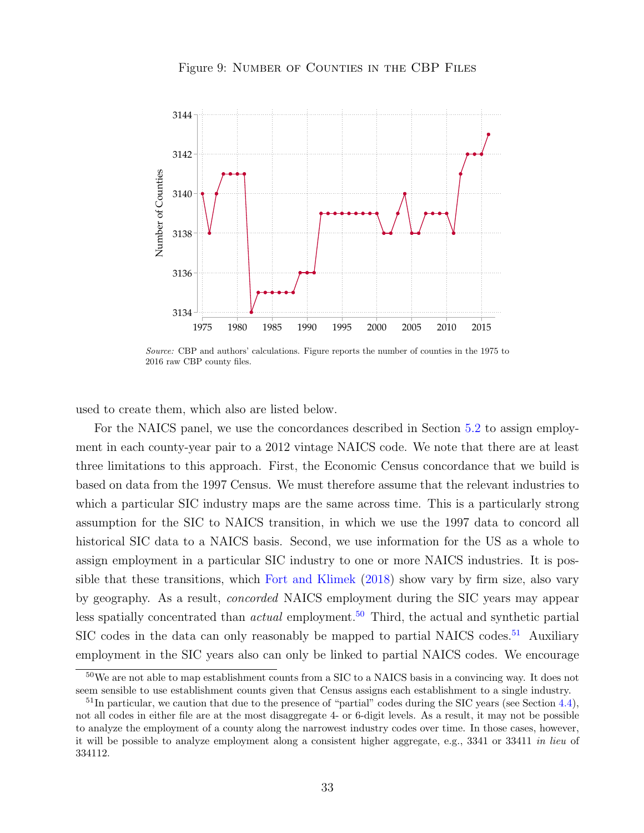<span id="page-32-0"></span>

Figure 9: NUMBER OF COUNTIES IN THE CBP FILES

Source: CBP and authors' calculations. Figure reports the number of counties in the 1975 to 2016 raw CBP county files.

1975 1980 1985 1990 1995 2000 2005 2010 2015

used to create them, which also are listed below.

For the NAICS panel, we use the concordances described in Section [5.2](#page-28-1) to assign employment in each county-year pair to a 2012 vintage NAICS code. We note that there are at least three limitations to this approach. First, the Economic Census concordance that we build is based on data from the 1997 Census. We must therefore assume that the relevant industries to which a particular SIC industry maps are the same across time. This is a particularly strong assumption for the SIC to NAICS transition, in which we use the 1997 data to concord all historical SIC data to a NAICS basis. Second, we use information for the US as a whole to assign employment in a particular SIC industry to one or more NAICS industries. It is possible that these transitions, which [Fort and Klimek](#page-37-8) [\(2018\)](#page-37-8) show vary by firm size, also vary by geography. As a result, concorded NAICS employment during the SIC years may appear less spatially concentrated than *actual* employment.<sup>[50](#page-32-1)</sup> Third, the actual and synthetic partial SIC codes in the data can only reasonably be mapped to partial NAICS codes.<sup>[51](#page-32-2)</sup> Auxiliary employment in the SIC years also can only be linked to partial NAICS codes. We encourage

<span id="page-32-1"></span><sup>50</sup>We are not able to map establishment counts from a SIC to a NAICS basis in a convincing way. It does not seem sensible to use establishment counts given that Census assigns each establishment to a single industry.

<span id="page-32-2"></span> $51$ In particular, we caution that due to the presence of "partial" codes during the SIC years (see Section [4.4\)](#page-23-0), not all codes in either file are at the most disaggregate 4- or 6-digit levels. As a result, it may not be possible to analyze the employment of a county along the narrowest industry codes over time. In those cases, however, it will be possible to analyze employment along a consistent higher aggregate, e.g., 3341 or 33411 in lieu of 334112.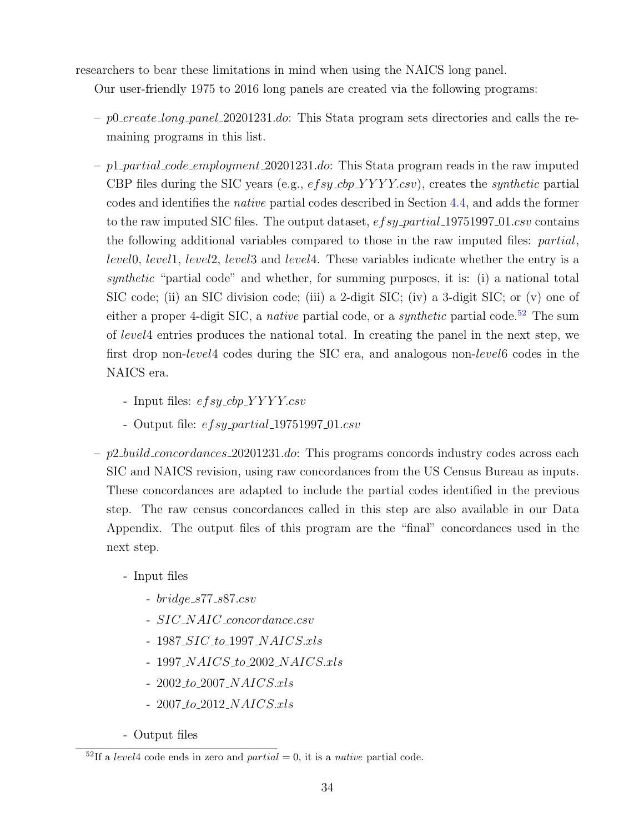researchers to bear these limitations in mind when using the NAICS long panel.

Our user-friendly 1975 to 2016 long panels are created via the following programs:

- $-p0 \ncretelong\_panel\_20201231.doc$ : This Stata program sets directories and calls the remaining programs in this list.
- $-p1$ -partial-code-employment 20201231.do: This Stata program reads in the raw imputed CBP files during the SIC years (e.g.,  $ef\text{sy\_cbp\_YYYY}$ .csv), creates the *synthetic* partial codes and identifies the native partial codes described in Section [4.4,](#page-23-0) and adds the former to the raw imputed SIC files. The output dataset,  $e f s y$ -partial 19751997-01.csv contains the following additional variables compared to those in the raw imputed files: partial, level0, level1, level2, level3 and level4. These variables indicate whether the entry is a synthetic "partial code" and whether, for summing purposes, it is: (i) a national total SIC code; (ii) an SIC division code; (iii) a 2-digit SIC; (iv) a 3-digit SIC; or (v) one of either a proper 4-digit SIC, a *native* partial code, or a *synthetic* partial code.<sup>[52](#page-33-0)</sup> The sum of level4 entries produces the national total. In creating the panel in the next step, we first drop non-level4 codes during the SIC era, and analogous non-level6 codes in the NAICS era.
	- Input files:  $efsy_cbp_YYYYcsv$
	- Output file:  $efsy$ -partial 19751997-01.csv
- $p2$ -*build* concordances 20201231.do: This programs concords industry codes across each SIC and NAICS revision, using raw concordances from the US Census Bureau as inputs. These concordances are adapted to include the partial codes identified in the previous step. The raw census concordances called in this step are also available in our Data Appendix. The output files of this program are the "final" concordances used in the next step.
	- Input files
		- $bridge\_s77\_s87.csv$
		- SIC\_NAIC\_concordance.csv
		- $-$  1987\_SIC\_to\_1997\_NAICS.xls
		- $-$  1997\_NAICS\_to\_2002\_NAICS.xls
		- $-2002\_to\_2007\_NAICS.xls$
		- $-2007\_to\_2012\_NAICS.xls$
	- Output files

<span id="page-33-0"></span> $5^2$ If a level4 code ends in zero and partial = 0, it is a native partial code.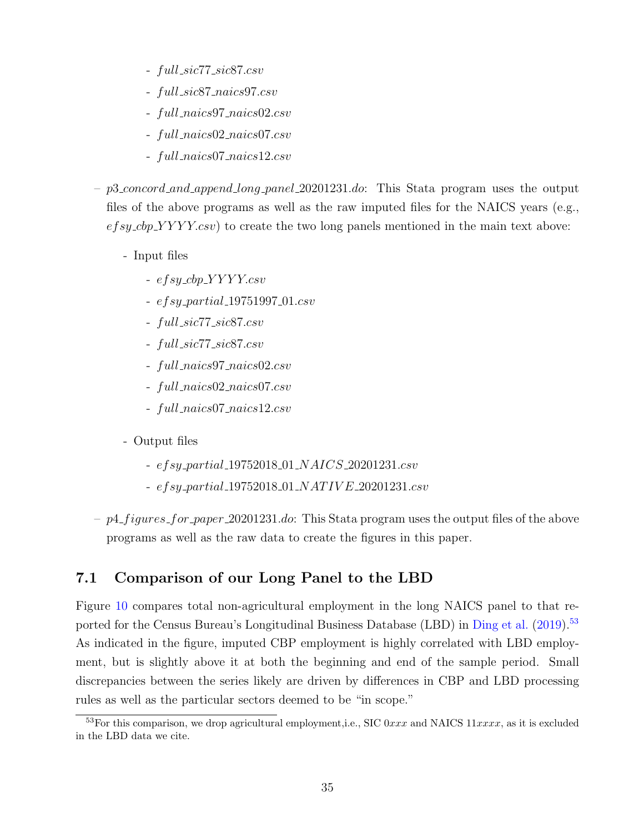- full sic77 sic87.csv
- full sic87 naics97.csv
- full naics97 naics02.csv
- full naics02 naics07.csv
- full naics07 naics12.csv
- p3 concord and append long panel 20201231.do: This Stata program uses the output files of the above programs as well as the raw imputed files for the NAICS years (e.g.,  $e f s y_c b p_y Y Y Y c s v$  to create the two long panels mentioned in the main text above:
	- Input files
		- $-$  efsy\_cbp\_YYYY.csv
		- $-$  efsy\_partial\_19751997\_01.csv
		- full sic77 sic87.csv
		- full sic77 sic87.csv
		- full naics97 naics02.csv
		- full naics02 naics07.csv
		- full naics07 naics12.csv
	- Output files
		- efsy partial 19752018 01 NAICS 20201231.csv
		- $efsy\_partial\_19752018\_01\_NATIVE\_20201231.csv$
- $p4$ - $figures$ - $for$ - $paper$ - $20201231$ .do: This Stata program uses the output files of the above programs as well as the raw data to create the figures in this paper.

## 7.1 Comparison of our Long Panel to the LBD

Figure [10](#page-35-1) compares total non-agricultural employment in the long NAICS panel to that re-ported for the Census Bureau's Longitudinal Business Database (LBD) in [Ding et al.](#page-37-7) [\(2019\)](#page-37-7).<sup>[53](#page-34-0)</sup> As indicated in the figure, imputed CBP employment is highly correlated with LBD employment, but is slightly above it at both the beginning and end of the sample period. Small discrepancies between the series likely are driven by differences in CBP and LBD processing rules as well as the particular sectors deemed to be "in scope."

<span id="page-34-0"></span> $53$ For this comparison, we drop agricultural employment, i.e., SIC 0xxx and NAICS  $11xxxx$ , as it is excluded in the LBD data we cite.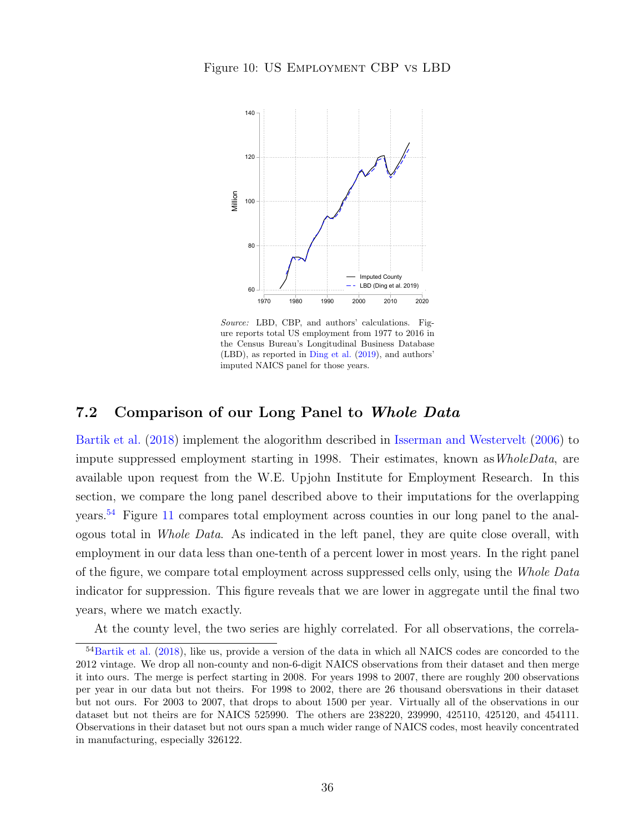<span id="page-35-1"></span>

Source: LBD, CBP, and authors' calculations. Figure reports total US employment from 1977 to 2016 in the Census Bureau's Longitudinal Business Database (LBD), as reported in [Ding et al.](#page-37-7) [\(2019\)](#page-37-7), and authors' imputed NAICS panel for those years.

#### <span id="page-35-0"></span>7.2 Comparison of our Long Panel to Whole Data

[Bartik et al.](#page-37-10) [\(2018\)](#page-37-10) implement the alogorithm described in [Isserman and Westervelt](#page-38-5) [\(2006\)](#page-38-5) to impute suppressed employment starting in 1998. Their estimates, known as *WholeData*, are available upon request from the W.E. Upjohn Institute for Employment Research. In this section, we compare the long panel described above to their imputations for the overlapping years.[54](#page-35-2) Figure [11](#page-36-1) compares total employment across counties in our long panel to the analogous total in Whole Data. As indicated in the left panel, they are quite close overall, with employment in our data less than one-tenth of a percent lower in most years. In the right panel of the figure, we compare total employment across suppressed cells only, using the Whole Data indicator for suppression. This figure reveals that we are lower in aggregate until the final two years, where we match exactly.

<span id="page-35-2"></span>At the county level, the two series are highly correlated. For all observations, the correla-

<sup>54</sup>[Bartik et al.](#page-37-10) [\(2018\)](#page-37-10), like us, provide a version of the data in which all NAICS codes are concorded to the 2012 vintage. We drop all non-county and non-6-digit NAICS observations from their dataset and then merge it into ours. The merge is perfect starting in 2008. For years 1998 to 2007, there are roughly 200 observations per year in our data but not theirs. For 1998 to 2002, there are 26 thousand obersvations in their dataset but not ours. For 2003 to 2007, that drops to about 1500 per year. Virtually all of the observations in our dataset but not theirs are for NAICS 525990. The others are 238220, 239990, 425110, 425120, and 454111. Observations in their dataset but not ours span a much wider range of NAICS codes, most heavily concentrated in manufacturing, especially 326122.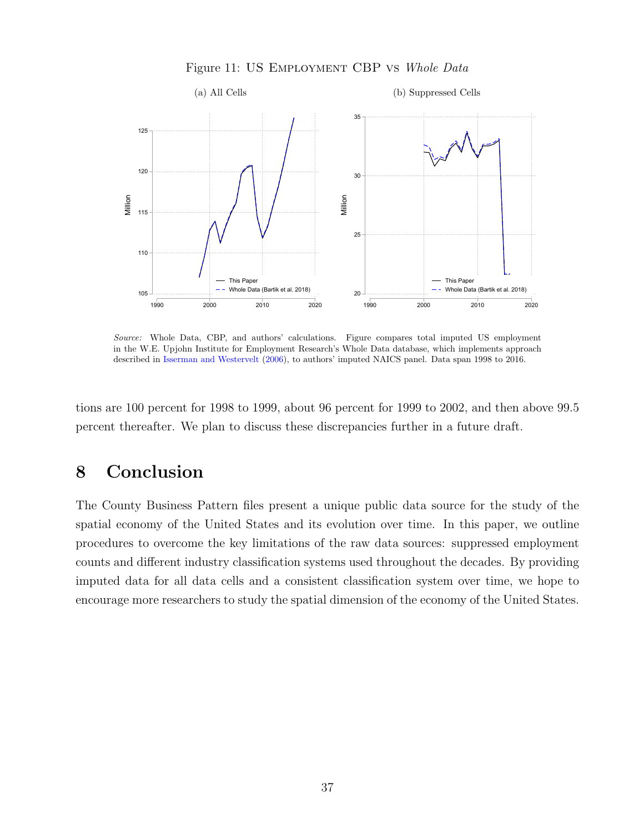<span id="page-36-1"></span>

Figure 11: US Employment CBP vs Whole Data

Source: Whole Data, CBP, and authors' calculations. Figure compares total imputed US employment in the W.E. Upjohn Institute for Employment Research's Whole Data database, which implements approach described in [Isserman and Westervelt](#page-38-5) [\(2006\)](#page-38-5), to authors' imputed NAICS panel. Data span 1998 to 2016.

tions are 100 percent for 1998 to 1999, about 96 percent for 1999 to 2002, and then above 99.5 percent thereafter. We plan to discuss these discrepancies further in a future draft.

# <span id="page-36-0"></span>8 Conclusion

The County Business Pattern files present a unique public data source for the study of the spatial economy of the United States and its evolution over time. In this paper, we outline procedures to overcome the key limitations of the raw data sources: suppressed employment counts and different industry classification systems used throughout the decades. By providing imputed data for all data cells and a consistent classification system over time, we hope to encourage more researchers to study the spatial dimension of the economy of the United States.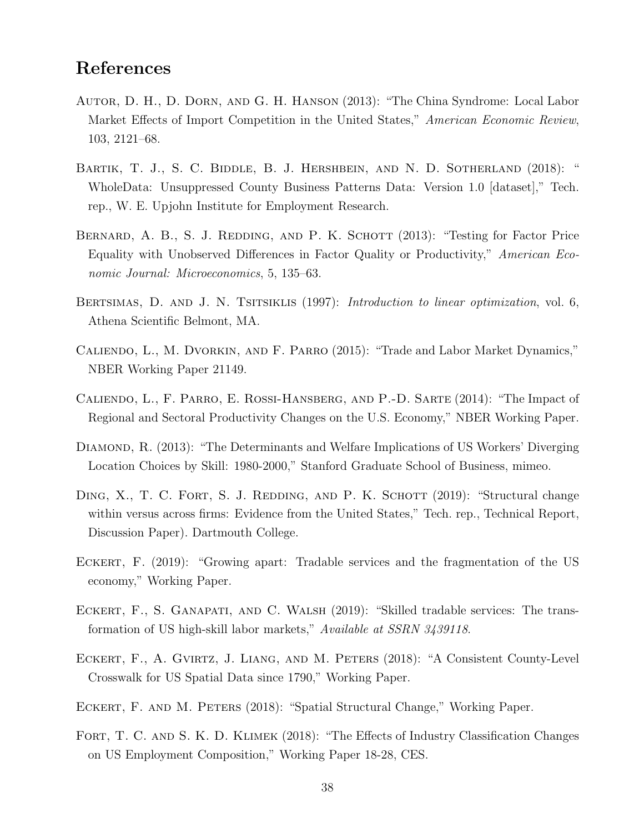## References

- <span id="page-37-0"></span>Autor, D. H., D. Dorn, and G. H. Hanson (2013): "The China Syndrome: Local Labor Market Effects of Import Competition in the United States," American Economic Review, 103, 2121–68.
- <span id="page-37-10"></span>BARTIK, T. J., S. C. BIDDLE, B. J. HERSHBEIN, AND N. D. SOTHERLAND (2018): " WholeData: Unsuppressed County Business Patterns Data: Version 1.0 [dataset]," Tech. rep., W. E. Upjohn Institute for Employment Research.
- <span id="page-37-4"></span>BERNARD, A. B., S. J. REDDING, AND P. K. SCHOTT (2013): "Testing for Factor Price Equality with Unobserved Differences in Factor Quality or Productivity," American Economic Journal: Microeconomics, 5, 135–63.
- <span id="page-37-9"></span>BERTSIMAS, D. AND J. N. TSITSIKLIS (1997): *Introduction to linear optimization*, vol. 6, Athena Scientific Belmont, MA.
- <span id="page-37-1"></span>Caliendo, L., M. Dvorkin, and F. Parro (2015): "Trade and Labor Market Dynamics," NBER Working Paper 21149.
- <span id="page-37-2"></span>Caliendo, L., F. Parro, E. Rossi-Hansberg, and P.-D. Sarte (2014): "The Impact of Regional and Sectoral Productivity Changes on the U.S. Economy," NBER Working Paper.
- <span id="page-37-3"></span>DIAMOND, R. (2013): "The Determinants and Welfare Implications of US Workers' Diverging Location Choices by Skill: 1980-2000," Stanford Graduate School of Business, mimeo.
- <span id="page-37-7"></span>DING, X., T. C. FORT, S. J. REDDING, AND P. K. SCHOTT (2019): "Structural change within versus across firms: Evidence from the United States," Tech. rep., Technical Report, Discussion Paper). Dartmouth College.
- <span id="page-37-5"></span>Eckert, F. (2019): "Growing apart: Tradable services and the fragmentation of the US economy," Working Paper.
- <span id="page-37-6"></span>Eckert, F., S. Ganapati, and C. Walsh (2019): "Skilled tradable services: The transformation of US high-skill labor markets," Available at SSRN 3439118.
- <span id="page-37-11"></span>ECKERT, F., A. GVIRTZ, J. LIANG, AND M. PETERS (2018): "A Consistent County-Level Crosswalk for US Spatial Data since 1790," Working Paper.
- <span id="page-37-12"></span>ECKERT, F. AND M. PETERS (2018): "Spatial Structural Change," Working Paper.
- <span id="page-37-8"></span>FORT, T. C. AND S. K. D. KLIMEK (2018): "The Effects of Industry Classification Changes on US Employment Composition," Working Paper 18-28, CES.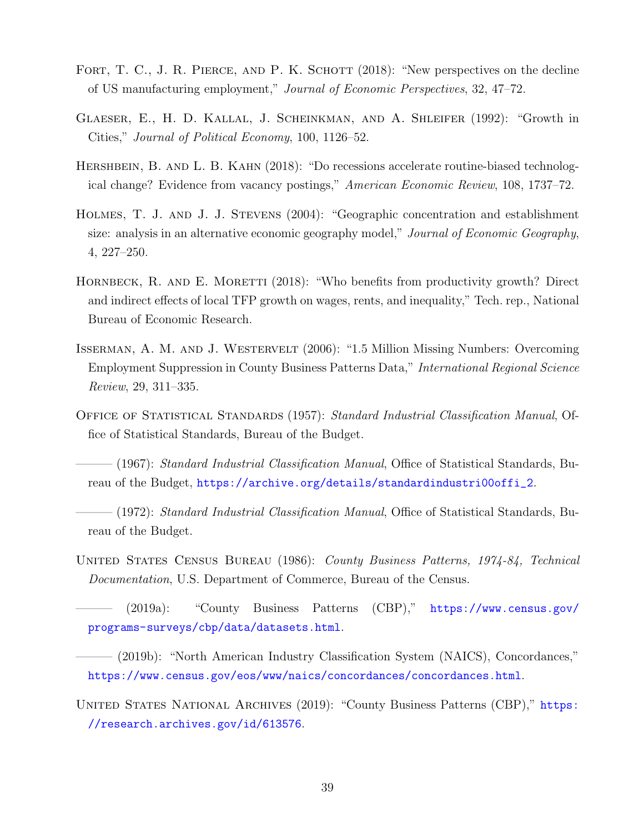- <span id="page-38-4"></span>FORT, T. C., J. R. PIERCE, AND P. K. SCHOTT (2018): "New perspectives on the decline of US manufacturing employment," Journal of Economic Perspectives, 32, 47–72.
- <span id="page-38-0"></span>Glaeser, E., H. D. Kallal, J. Scheinkman, and A. Shleifer (1992): "Growth in Cities," Journal of Political Economy, 100, 1126–52.
- <span id="page-38-2"></span>HERSHBEIN, B. AND L. B. KAHN (2018): "Do recessions accelerate routine-biased technological change? Evidence from vacancy postings," American Economic Review, 108, 1737–72.
- <span id="page-38-1"></span>Holmes, T. J. and J. J. Stevens (2004): "Geographic concentration and establishment size: analysis in an alternative economic geography model," Journal of Economic Geography, 4, 227–250.
- <span id="page-38-3"></span>HORNBECK, R. AND E. MORETTI (2018): "Who benefits from productivity growth? Direct and indirect effects of local TFP growth on wages, rents, and inequality," Tech. rep., National Bureau of Economic Research.
- <span id="page-38-5"></span>Isserman, A. M. and J. Westervelt (2006): "1.5 Million Missing Numbers: Overcoming Employment Suppression in County Business Patterns Data," International Regional Science Review, 29, 311–335.
- <span id="page-38-10"></span>OFFICE OF STATISTICAL STANDARDS (1957): Standard Industrial Classification Manual, Office of Statistical Standards, Bureau of the Budget.

<span id="page-38-11"></span> $(1967)$ : *Standard Industrial Classification Manual*, Office of Statistical Standards, Bureau of the Budget, [https://archive.org/details/standardindustri00offi\\_2](https://archive.org/details/standardindustri00offi_2).

- <span id="page-38-7"></span> $-(1972)$ : *Standard Industrial Classification Manual*, Office of Statistical Standards, Bureau of the Budget.
- <span id="page-38-6"></span>United States Census Bureau (1986): County Business Patterns, 1974-84, Technical Documentation, U.S. Department of Commerce, Bureau of the Census.

<span id="page-38-9"></span>——— (2019a): "County Business Patterns (CBP)," [https://www.census.gov/](https://www.census.gov/programs-surveys/cbp/data/datasets.html) [programs-surveys/cbp/data/datasets.html](https://www.census.gov/programs-surveys/cbp/data/datasets.html).

<span id="page-38-12"></span>——— (2019b): "North American Industry Classification System (NAICS), Concordances," <https://www.census.gov/eos/www/naics/concordances/concordances.html>.

<span id="page-38-8"></span>UNITED STATES NATIONAL ARCHIVES (2019): "County Business Patterns (CBP)," [https:](https://research.archives.gov/id/613576) [//research.archives.gov/id/613576](https://research.archives.gov/id/613576).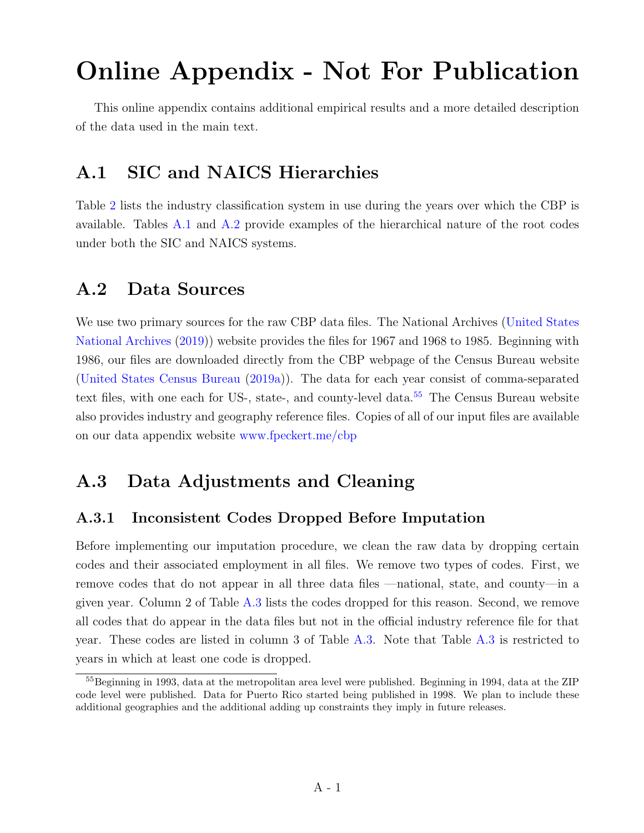# Online Appendix - Not For Publication

This online appendix contains additional empirical results and a more detailed description of the data used in the main text.

# A.1 SIC and NAICS Hierarchies

Table [2](#page-7-0) lists the industry classification system in use during the years over which the CBP is available. Tables [A.1](#page-42-0) and [A.2](#page-42-1) provide examples of the hierarchical nature of the root codes under both the SIC and NAICS systems.

## <span id="page-39-0"></span>A.2 Data Sources

We use two primary sources for the raw CBP data files. The National Archives [\(United States](#page-38-8) [National Archives](#page-38-8) [\(2019\)](#page-38-8)) website provides the files for 1967 and 1968 to 1985. Beginning with 1986, our files are downloaded directly from the CBP webpage of the Census Bureau website [\(United States Census Bureau](#page-38-9) [\(2019a\)](#page-38-9)). The data for each year consist of comma-separated text files, with one each for US-, state-, and county-level data.<sup>[55](#page-39-2)</sup> The Census Bureau website also provides industry and geography reference files. Copies of all of our input files are available on our data appendix website [www.fpeckert.me/cbp](http://www.fpeckert.me/cbp)

## A.3 Data Adjustments and Cleaning

## <span id="page-39-1"></span>A.3.1 Inconsistent Codes Dropped Before Imputation

Before implementing our imputation procedure, we clean the raw data by dropping certain codes and their associated employment in all files. We remove two types of codes. First, we remove codes that do not appear in all three data files —national, state, and county—in a given year. Column 2 of Table [A.3](#page-43-0) lists the codes dropped for this reason. Second, we remove all codes that do appear in the data files but not in the official industry reference file for that year. These codes are listed in column 3 of Table [A.3.](#page-43-0) Note that Table [A.3](#page-43-0) is restricted to years in which at least one code is dropped.

<span id="page-39-2"></span><sup>55</sup>Beginning in 1993, data at the metropolitan area level were published. Beginning in 1994, data at the ZIP code level were published. Data for Puerto Rico started being published in 1998. We plan to include these additional geographies and the additional adding up constraints they imply in future releases.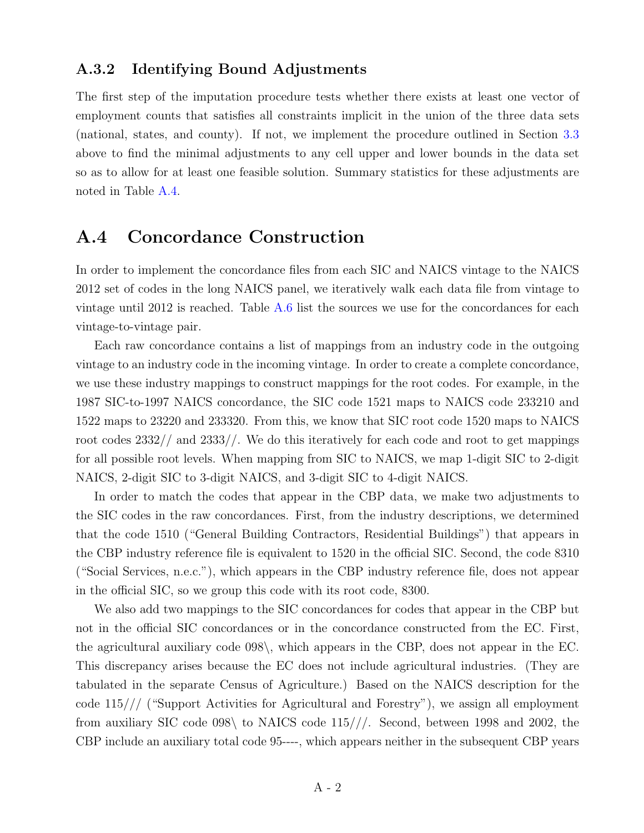#### A.3.2 Identifying Bound Adjustments

The first step of the imputation procedure tests whether there exists at least one vector of employment counts that satisfies all constraints implicit in the union of the three data sets (national, states, and county). If not, we implement the procedure outlined in Section [3.3](#page-20-3) above to find the minimal adjustments to any cell upper and lower bounds in the data set so as to allow for at least one feasible solution. Summary statistics for these adjustments are noted in Table [A.4.](#page-44-0)

## <span id="page-40-0"></span>A.4 Concordance Construction

In order to implement the concordance files from each SIC and NAICS vintage to the NAICS 2012 set of codes in the long NAICS panel, we iteratively walk each data file from vintage to vintage until 2012 is reached. Table [A.6](#page-46-0) list the sources we use for the concordances for each vintage-to-vintage pair.

Each raw concordance contains a list of mappings from an industry code in the outgoing vintage to an industry code in the incoming vintage. In order to create a complete concordance, we use these industry mappings to construct mappings for the root codes. For example, in the 1987 SIC-to-1997 NAICS concordance, the SIC code 1521 maps to NAICS code 233210 and 1522 maps to 23220 and 233320. From this, we know that SIC root code 1520 maps to NAICS root codes 2332// and 2333//. We do this iteratively for each code and root to get mappings for all possible root levels. When mapping from SIC to NAICS, we map 1-digit SIC to 2-digit NAICS, 2-digit SIC to 3-digit NAICS, and 3-digit SIC to 4-digit NAICS.

In order to match the codes that appear in the CBP data, we make two adjustments to the SIC codes in the raw concordances. First, from the industry descriptions, we determined that the code 1510 ("General Building Contractors, Residential Buildings") that appears in the CBP industry reference file is equivalent to 1520 in the official SIC. Second, the code 8310 ("Social Services, n.e.c."), which appears in the CBP industry reference file, does not appear in the official SIC, so we group this code with its root code, 8300.

We also add two mappings to the SIC concordances for codes that appear in the CBP but not in the official SIC concordances or in the concordance constructed from the EC. First, the agricultural auxiliary code 098\, which appears in the CBP, does not appear in the EC. This discrepancy arises because the EC does not include agricultural industries. (They are tabulated in the separate Census of Agriculture.) Based on the NAICS description for the code 115/// ("Support Activities for Agricultural and Forestry"), we assign all employment from auxiliary SIC code 098\ to NAICS code 115///. Second, between 1998 and 2002, the CBP include an auxiliary total code 95----, which appears neither in the subsequent CBP years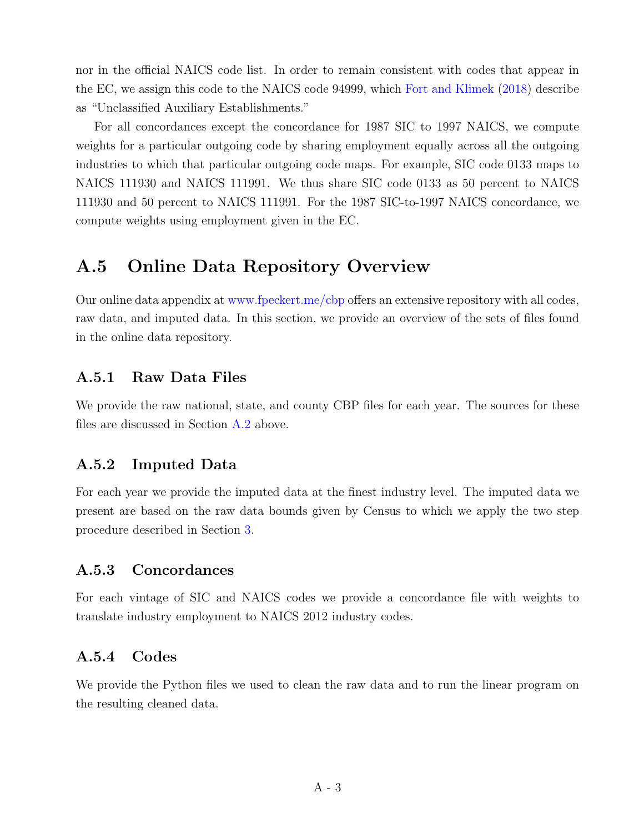nor in the official NAICS code list. In order to remain consistent with codes that appear in the EC, we assign this code to the NAICS code 94999, which [Fort and Klimek](#page-37-8) [\(2018\)](#page-37-8) describe as "Unclassified Auxiliary Establishments."

For all concordances except the concordance for 1987 SIC to 1997 NAICS, we compute weights for a particular outgoing code by sharing employment equally across all the outgoing industries to which that particular outgoing code maps. For example, SIC code 0133 maps to NAICS 111930 and NAICS 111991. We thus share SIC code 0133 as 50 percent to NAICS 111930 and 50 percent to NAICS 111991. For the 1987 SIC-to-1997 NAICS concordance, we compute weights using employment given in the EC.

## A.5 Online Data Repository Overview

Our online data appendix at [www.fpeckert.me/cbp](http://www.fpeckert.me/cbp) offers an extensive repository with all codes, raw data, and imputed data. In this section, we provide an overview of the sets of files found in the online data repository.

## A.5.1 Raw Data Files

We provide the raw national, state, and county CBP files for each year. The sources for these files are discussed in Section [A.2](#page-39-0) above.

## A.5.2 Imputed Data

For each year we provide the imputed data at the finest industry level. The imputed data we present are based on the raw data bounds given by Census to which we apply the two step procedure described in Section [3.](#page-17-0)

## A.5.3 Concordances

For each vintage of SIC and NAICS codes we provide a concordance file with weights to translate industry employment to NAICS 2012 industry codes.

## A.5.4 Codes

We provide the Python files we used to clean the raw data and to run the linear program on the resulting cleaned data.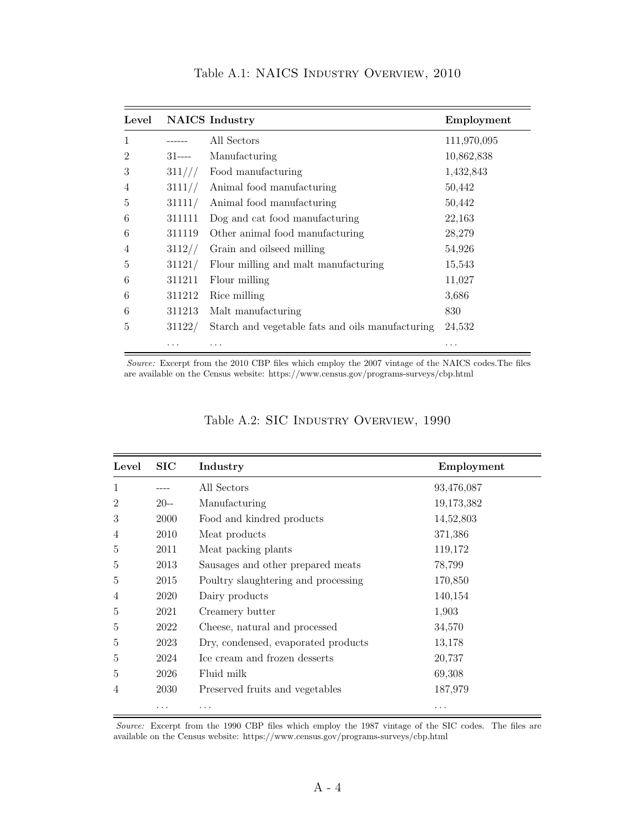<span id="page-42-0"></span>

| Level |           | <b>NAICS</b> Industry                            | Employment  |
|-------|-----------|--------------------------------------------------|-------------|
| 1     |           | All Sectors                                      | 111,970,095 |
| 2     | $31$ ---- | Manufacturing                                    | 10,862,838  |
| 3     | 311///    | Food manufacturing                               | 1,432,843   |
| 4     | 3111/     | Animal food manufacturing                        | 50,442      |
| 5     | 31111/    | Animal food manufacturing                        | 50,442      |
| 6     | 311111    | Dog and cat food manufacturing                   | 22,163      |
| 6     | 311119    | Other animal food manufacturing                  | 28,279      |
| 4     | 3112/     | Grain and oilseed milling                        | 54,926      |
| 5     | 31121/    | Flour milling and malt manufacturing             | 15,543      |
| 6     | 311211    | Flour milling                                    | 11,027      |
| 6     | 311212    | Rice milling                                     | 3,686       |
| 6     | 311213    | Malt manufacturing                               | 830         |
| 5     | 31122/    | Starch and vegetable fats and oils manufacturing | 24,532      |
|       | .         | .                                                | .           |

Table A.1: NAICS Industry Overview, 2010

Source: Excerpt from the 2010 CBP files which employ the 2007 vintage of the NAICS codes.The files are available on the Census website: https://www.census.gov/programs-surveys/cbp.html

<span id="page-42-1"></span>

| Level          | $\rm SIC$ | Industry                            | Employment |
|----------------|-----------|-------------------------------------|------------|
| 1              |           | All Sectors                         | 93,476,087 |
| $\overline{2}$ | $20-$     | Manufacturing                       | 19,173,382 |
| 3              | 2000      | Food and kindred products           | 14,52,803  |
| 4              | 2010      | Meat products                       | 371,386    |
| 5              | 2011      | Meat packing plants                 | 119,172    |
| 5              | 2013      | Sausages and other prepared meats   | 78,799     |
| 5              | 2015      | Poultry slaughtering and processing | 170,850    |
| 4              | 2020      | Dairy products                      | 140,154    |
| 5              | 2021      | Creamery butter                     | 1,903      |
| 5              | 2022      | Cheese, natural and processed       | 34,570     |
| 5              | 2023      | Dry, condensed, evaporated products | 13,178     |
| 5              | 2024      | Ice cream and frozen desserts       | 20,737     |
| 5              | 2026      | Fluid milk                          | 69,308     |
| $\overline{4}$ | 2030      | Preserved fruits and vegetables     | 187,979    |
|                |           | .                                   | .          |

#### Table A.2: SIC Industry Overview, 1990

Source: Excerpt from the 1990 CBP files which employ the 1987 vintage of the SIC codes. The files are available on the Census website: https://www.census.gov/programs-surveys/cbp.html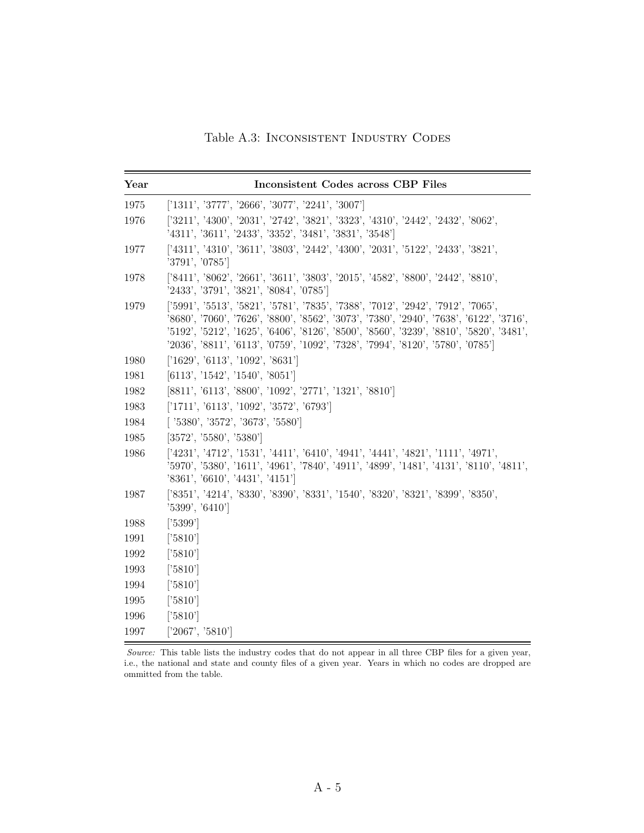Table A.3: Inconsistent Industry Codes

<span id="page-43-0"></span>

| Year | <b>Inconsistent Codes across CBP Files</b>                                                                                                                                                                                                                                                                                                                |
|------|-----------------------------------------------------------------------------------------------------------------------------------------------------------------------------------------------------------------------------------------------------------------------------------------------------------------------------------------------------------|
| 1975 | ['1311', '3777', '2666', '3077', '2241', '3007']                                                                                                                                                                                                                                                                                                          |
| 1976 | ['3211', '4300', '2031', '2742', '3821', '3323', '4310', '2442', '2432', '8062',<br>'4311', '3611', '2433', '3352', '3481', '3831', '3548']                                                                                                                                                                                                               |
| 1977 | ['4311', '4310', '3611', '3803', '2442', '4300', '2031', '5122', '2433', '3821',<br>'3791', '0785']                                                                                                                                                                                                                                                       |
| 1978 | $[3411', 3062', 2661', 3611', 3803', 2015', 4582', 8800', 2442', 8810',$<br>'2433', '3791', '3821', '8084', '0785']                                                                                                                                                                                                                                       |
| 1979 | ['5991', '5513', '5821', '5781', '7835', '7388', '7012', '2942', '7912', '7065',<br>'8680', '7060', '7626', '8800', '8562', '3073', '7380', '2940', '7638', '6122', '3716',<br>'5192', '5212', '1625', '6406', '8126', '8500', '8560', '3239', '8810', '5820', '3481',<br>'2036', '8811', '6113', '0759', '1092', '7328', '7994', '8120', '5780', '0785'] |
| 1980 | [1629', 6113', 1092', 8631']                                                                                                                                                                                                                                                                                                                              |
| 1981 | [6113', '1542', '1540', '8051']                                                                                                                                                                                                                                                                                                                           |
| 1982 | [8811', '6113', '8800', '1092', '2771', '1321', '8810']                                                                                                                                                                                                                                                                                                   |
| 1983 | [1711', 76113', 1092', 3572', 76793']                                                                                                                                                                                                                                                                                                                     |
| 1984 | [ '5380', '3572', '3673', '5580']                                                                                                                                                                                                                                                                                                                         |
| 1985 | [3572', '5580', '5380']                                                                                                                                                                                                                                                                                                                                   |
| 1986 | ['4231', '4712', '1531', '4411', '6410', '4941', '4441', '4821', '1111', '4971',<br>'5970', '5380', '1611', '4961', '7840', '4911', '4899', '1481', '4131', '8110', '4811',<br>'8361', '6610', '4431', '4151']                                                                                                                                            |
| 1987 | ['8351', '4214', '8330', '8390', '8331', '1540', '8320', '8321', '8399', '8350',<br>'5399', '6410']                                                                                                                                                                                                                                                       |
| 1988 | $[3399]$                                                                                                                                                                                                                                                                                                                                                  |
| 1991 | [3810]                                                                                                                                                                                                                                                                                                                                                    |
| 1992 | $[3810]$                                                                                                                                                                                                                                                                                                                                                  |
| 1993 | [3810]                                                                                                                                                                                                                                                                                                                                                    |
| 1994 | [3810]                                                                                                                                                                                                                                                                                                                                                    |
| 1995 | $[3810]$                                                                                                                                                                                                                                                                                                                                                  |
| 1996 | $[3810]$                                                                                                                                                                                                                                                                                                                                                  |
| 1997 | ['2067', '5810']                                                                                                                                                                                                                                                                                                                                          |

Source: This table lists the industry codes that do not appear in all three CBP files for a given year, i.e., the national and state and county files of a given year. Years in which no codes are dropped are ommitted from the table.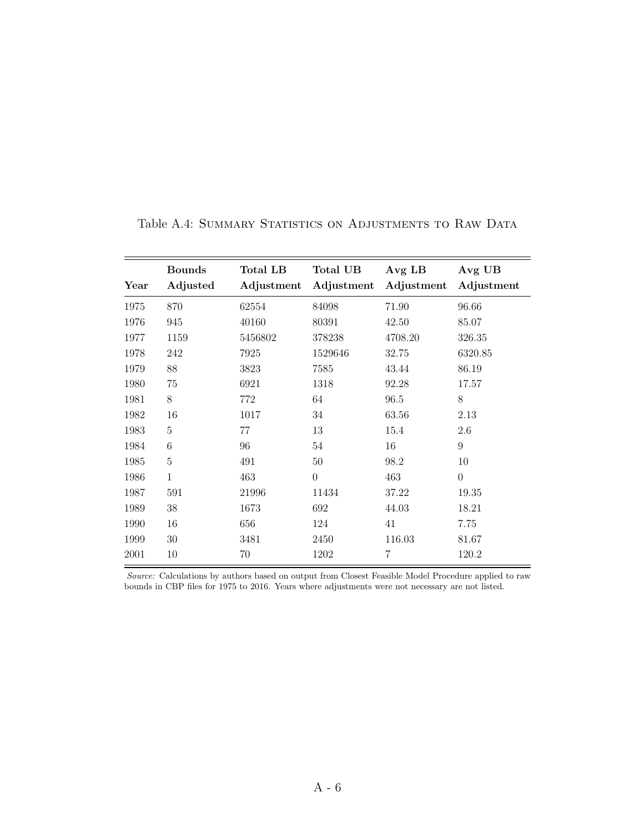|      | <b>Bounds</b> | <b>Total LB</b> | <b>Total UB</b> | Avg LB     | Avg UB           |
|------|---------------|-----------------|-----------------|------------|------------------|
| Year | Adjusted      | Adjustment      | Adjustment      | Adjustment | Adjustment       |
| 1975 | 870           | 62554           | 84098           | 71.90      | 96.66            |
| 1976 | 945           | 40160           | 80391           | 42.50      | 85.07            |
| 1977 | 1159          | 5456802         | 378238          | 4708.20    | 326.35           |
| 1978 | 242           | 7925            | 1529646         | 32.75      | 6320.85          |
| 1979 | 88            | 3823            | 7585            | 43.44      | 86.19            |
| 1980 | 75            | 6921            | 1318            | 92.28      | 17.57            |
| 1981 | 8             | 772             | 64              | 96.5       | 8                |
| 1982 | 16            | 1017            | 34              | 63.56      | 2.13             |
| 1983 | 5             | 77              | 13              | 15.4       | 2.6              |
| 1984 | $\,6$         | 96              | 54              | 16         | $\boldsymbol{9}$ |
| 1985 | 5             | 491             | 50              | 98.2       | 10               |
| 1986 | 1             | 463             | $\theta$        | 463        | $\overline{0}$   |
| 1987 | 591           | 21996           | 11434           | 37.22      | 19.35            |
| 1989 | 38            | 1673            | 692             | 44.03      | 18.21            |
| 1990 | 16            | 656             | 124             | 41         | 7.75             |
| 1999 | 30            | 3481            | 2450            | 116.03     | 81.67            |
| 2001 | 10            | 70              | 1202            | 7          | 120.2            |

<span id="page-44-0"></span>Table A.4: SUMMARY STATISTICS ON ADJUSTMENTS TO RAW DATA

Source: Calculations by authors based on output from Closest Feasible Model Procedure applied to raw bounds in CBP files for 1975 to 2016. Years where adjustments were not necessary are not listed.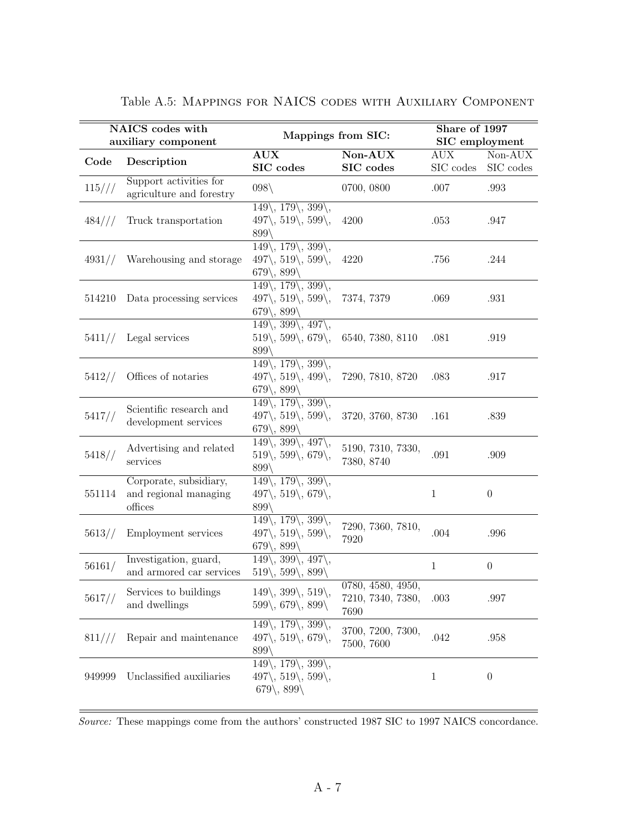|          | NAICS codes with<br>auxiliary component                    | Mappings from SIC:                                                                                                                                                  |                                                | Share of 1997<br>SIC employment |                      |
|----------|------------------------------------------------------------|---------------------------------------------------------------------------------------------------------------------------------------------------------------------|------------------------------------------------|---------------------------------|----------------------|
| Code     | Description                                                | AUX<br>SIC codes                                                                                                                                                    | Non-AUX<br>SIC codes                           | <b>AUX</b><br>SIC codes         | Non-AUX<br>SIC codes |
| $115///$ | Support activities for<br>agriculture and forestry         | $098\backslash$                                                                                                                                                     | 0700, 0800                                     | .007                            | .993                 |
| 484///   | Truck transportation                                       | $149\langle, 179\langle, 399\langle,$<br>$497\langle, 519\langle, 599\langle,$<br>$899\%$                                                                           | 4200                                           | .053                            | .947                 |
| 4931/    | Warehousing and storage                                    | $149\langle, 179\langle, 399\langle,$<br>$497\langle, 519\langle, 599\langle,$<br>$679\langle, 899\rangle$                                                          | 4220                                           | .756                            | .244                 |
| 514210   | Data processing services                                   | $149\overline{\smash{\big)}$ , $179\overline{\smash{\big)}}$ , $399\overline{\smash{\big)}}$ ,<br>$497\langle, 519\langle, 599\langle,$<br>$679\langle, 899\langle$ | 7374, 7379                                     | .069                            | .931                 |
| 5411/    | Legal services                                             | $149\langle, 399\langle, 497\langle,$<br>$519\langle, 599\langle, 679\rangle,$<br>899\                                                                              | 6540, 7380, 8110                               | .081                            | .919                 |
| 5412/    | Offices of notaries                                        | $149\langle, 179\langle, 399\langle,$<br>$497\langle, 519\langle, 499\langle,$<br>$679\langle, 899\langle$                                                          | 7290, 7810, 8720                               | .083                            | .917                 |
| 5417/    | Scientific research and<br>development services            | $149\langle, 179\langle, 399\langle,$<br>$497\langle, 519\langle, 599\rangle,$<br>$679\langle, 899\langle$                                                          | 3720, 3760, 8730                               | .161                            | .839                 |
| 5418/    | Advertising and related<br>services                        | $149\langle, 399\langle, 497\langle,$<br>$519\langle, 599\langle, 679\langle,$<br>$899\%$                                                                           | 5190, 7310, 7330,<br>7380, 8740                | .091                            | .909                 |
| 551114   | Corporate, subsidiary,<br>and regional managing<br>offices | $149\langle, 179\langle, 399\langle,$<br>$497\langle, 519\langle, 679\langle,$<br>$899\%$                                                                           |                                                | $\mathbf{1}$                    | $\overline{0}$       |
| 5613/    | Employment services                                        | $149\langle, 179\langle, 399\langle,$<br>$497\langle, 519\langle, 599\langle,$<br>$679$ , $899$                                                                     | 7290, 7360, 7810,<br>7920                      | .004                            | .996                 |
| 56161/   | Investigation, guard,<br>and armored car services          | $149\langle, 399\langle, 497\langle,$<br>$519\langle, 599\langle, 899\rangle$                                                                                       |                                                | $\mathbf{1}$                    | $\boldsymbol{0}$     |
| 5617/    | Services to buildings<br>and dwellings                     | $149\backslash,\,399\backslash,\,519\backslash,$<br>$599\langle, 679\langle, 899\rangle$                                                                            | 0780, 4580, 4950,<br>7210, 7340, 7380,<br>7690 | .003                            | .997                 |
| 811///   | Repair and maintenance                                     | $149\langle, 179\langle, 399\langle,$<br>$497\langle, 519\langle, 679\langle,$<br>899                                                                               | 3700, 7200, 7300,<br>7500, 7600                | .042                            | .958                 |
| 949999   | Unclassified auxiliaries                                   | $149\langle, 179\langle, 399\rangle,$<br>$497\langle, 519\langle, 599\rangle,$<br>$679\langle, 899\rangle$                                                          |                                                | 1                               | $\overline{0}$       |

|  |  |  | Table A.5: MAPPINGS FOR NAICS CODES WITH AUXILIARY COMPONENT |
|--|--|--|--------------------------------------------------------------|
|  |  |  |                                                              |

Source: These mappings come from the authors' constructed 1987 SIC to 1997 NAICS concordance.

 $=$